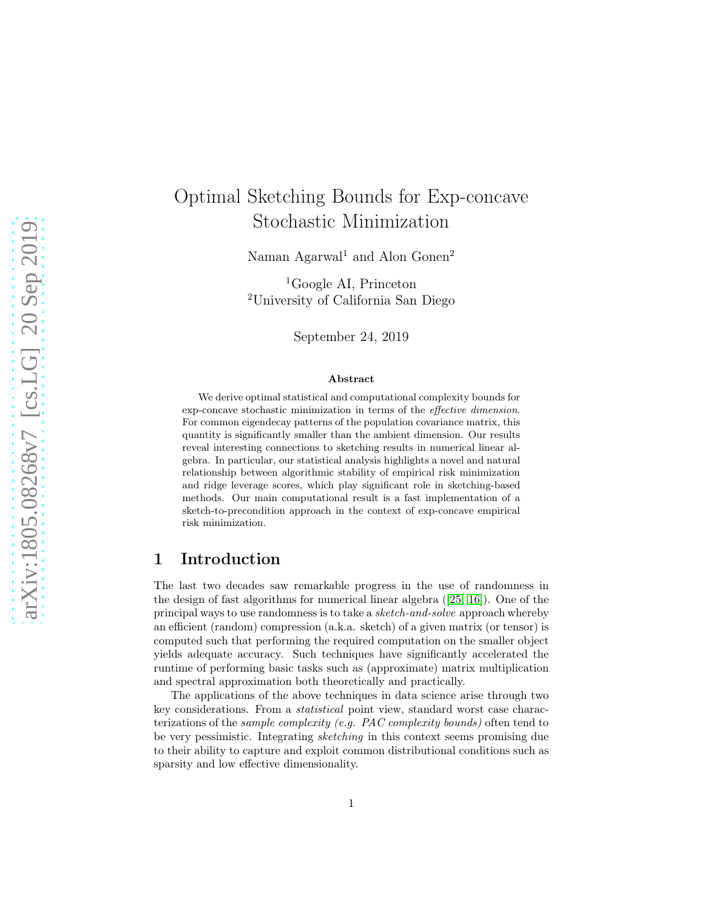# Optimal Sketching Bounds for Exp-concave Stochastic Minimization

Naman Agarwal<sup>1</sup> and Alon Gonen<sup>2</sup>

<sup>1</sup>Google AI, Princeton <sup>2</sup>University of California San Diego

September 24, 2019

#### Abstract

We derive optimal statistical and computational complexity bounds for exp-concave stochastic minimization in terms of the effective dimension. For common eigendecay patterns of the population covariance matrix, this quantity is significantly smaller than the ambient dimension. Our results reveal interesting connections to sketching results in numerical linear algebra. In particular, our statistical analysis highlights a novel and natural relationship between algorithmic stability of empirical risk minimization and ridge leverage scores, which play significant role in sketching-based methods. Our main computational result is a fast implementation of a sketch-to-precondition approach in the context of exp-concave empirical risk minimization.

## 1 Introduction

The last two decades saw remarkable progress in the use of randomness in the design of fast algorithms for numerical linear algebra ([\[25,](#page-15-0) [16\]](#page-15-1)). One of the principal ways to use randomness is to take a sketch-and-solve approach whereby an efficient (random) compression (a.k.a. sketch) of a given matrix (or tensor) is computed such that performing the required computation on the smaller object yields adequate accuracy. Such techniques have significantly accelerated the runtime of performing basic tasks such as (approximate) matrix multiplication and spectral approximation both theoretically and practically.

The applications of the above techniques in data science arise through two key considerations. From a statistical point view, standard worst case characterizations of the sample complexity (e.g. PAC complexity bounds) often tend to be very pessimistic. Integrating sketching in this context seems promising due to their ability to capture and exploit common distributional conditions such as sparsity and low effective dimensionality.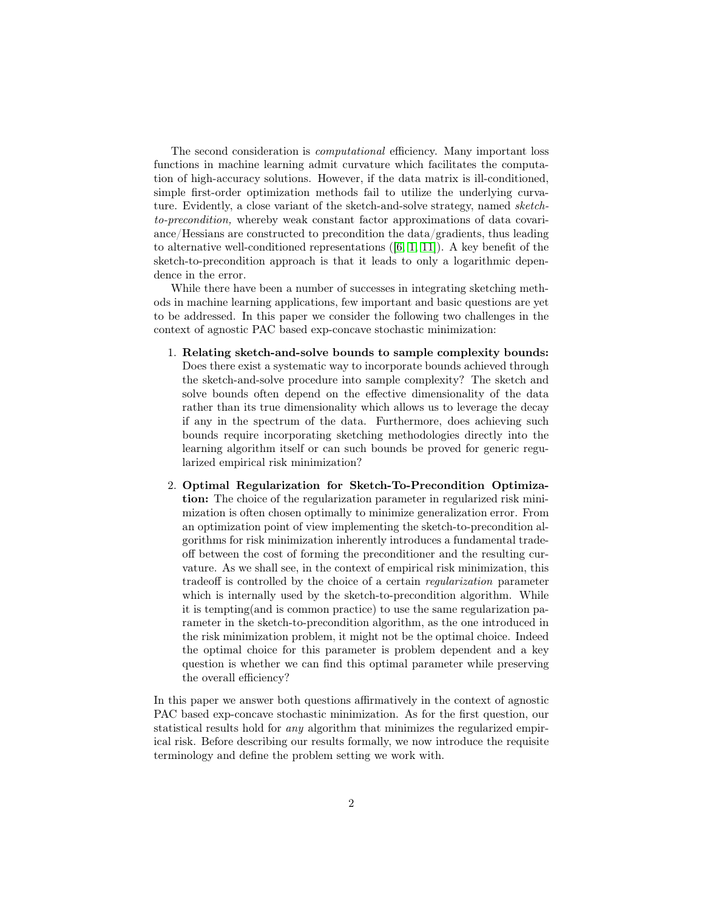The second consideration is computational efficiency. Many important loss functions in machine learning admit curvature which facilitates the computation of high-accuracy solutions. However, if the data matrix is ill-conditioned, simple first-order optimization methods fail to utilize the underlying curvature. Evidently, a close variant of the sketch-and-solve strategy, named sketchto-precondition, whereby weak constant factor approximations of data covariance/Hessians are constructed to precondition the data/gradients, thus leading to alternative well-conditioned representations  $([6, 1, 11])$  $([6, 1, 11])$  $([6, 1, 11])$  $([6, 1, 11])$  $([6, 1, 11])$ . A key benefit of the sketch-to-precondition approach is that it leads to only a logarithmic dependence in the error.

While there have been a number of successes in integrating sketching methods in machine learning applications, few important and basic questions are yet to be addressed. In this paper we consider the following two challenges in the context of agnostic PAC based exp-concave stochastic minimization:

- 1. Relating sketch-and-solve bounds to sample complexity bounds: Does there exist a systematic way to incorporate bounds achieved through the sketch-and-solve procedure into sample complexity? The sketch and solve bounds often depend on the effective dimensionality of the data rather than its true dimensionality which allows us to leverage the decay if any in the spectrum of the data. Furthermore, does achieving such bounds require incorporating sketching methodologies directly into the learning algorithm itself or can such bounds be proved for generic regularized empirical risk minimization?
- 2. Optimal Regularization for Sketch-To-Precondition Optimization: The choice of the regularization parameter in regularized risk minimization is often chosen optimally to minimize generalization error. From an optimization point of view implementing the sketch-to-precondition algorithms for risk minimization inherently introduces a fundamental tradeoff between the cost of forming the preconditioner and the resulting curvature. As we shall see, in the context of empirical risk minimization, this tradeoff is controlled by the choice of a certain regularization parameter which is internally used by the sketch-to-precondition algorithm. While it is tempting(and is common practice) to use the same regularization parameter in the sketch-to-precondition algorithm, as the one introduced in the risk minimization problem, it might not be the optimal choice. Indeed the optimal choice for this parameter is problem dependent and a key question is whether we can find this optimal parameter while preserving the overall efficiency?

In this paper we answer both questions affirmatively in the context of agnostic PAC based exp-concave stochastic minimization. As for the first question, our statistical results hold for any algorithm that minimizes the regularized empirical risk. Before describing our results formally, we now introduce the requisite terminology and define the problem setting we work with.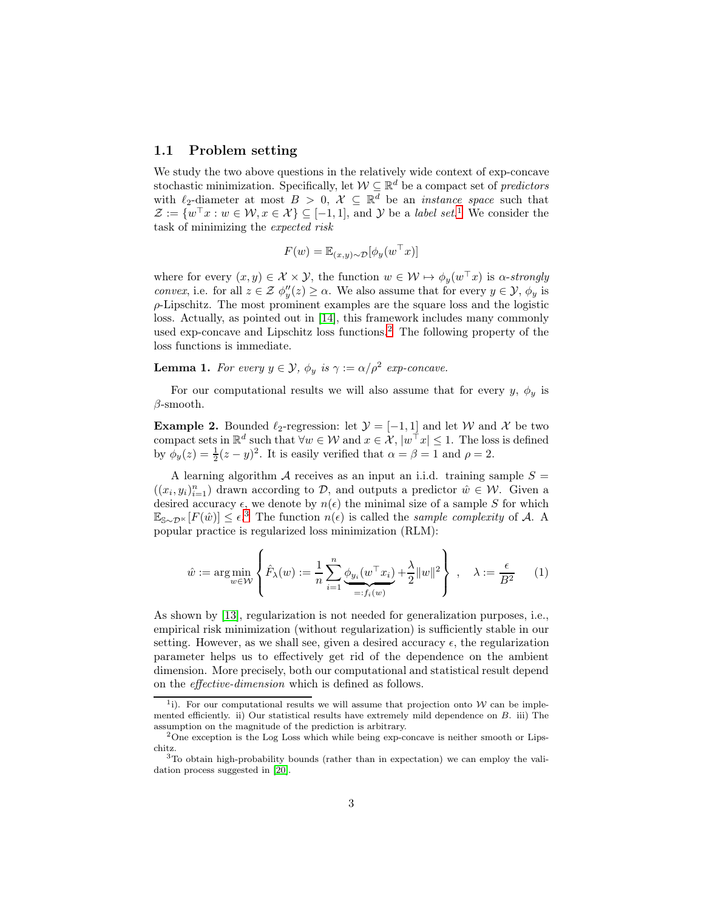#### 1.1 Problem setting

We study the two above questions in the relatively wide context of exp-concave stochastic minimization. Specifically, let  $W \subseteq \mathbb{R}^d$  be a compact set of *predictors* with  $\ell_2$ -diameter at most  $B > 0$ ,  $\mathcal{X} \subseteq \mathbb{R}^d$  be an *instance space* such that  $\mathcal{Z} := \{ w^\top x : w \in \mathcal{W}, x \in \mathcal{X} \} \subseteq [-1,1], \text{ and } \mathcal{Y} \text{ be a label set.}$  $\mathcal{Z} := \{ w^\top x : w \in \mathcal{W}, x \in \mathcal{X} \} \subseteq [-1,1], \text{ and } \mathcal{Y} \text{ be a label set.}$  $\mathcal{Z} := \{ w^\top x : w \in \mathcal{W}, x \in \mathcal{X} \} \subseteq [-1,1], \text{ and } \mathcal{Y} \text{ be a label set.}$ <sup>1</sup> We consider the task of minimizing the expected risk

$$
F(w) = \mathbb{E}_{(x,y)\sim\mathcal{D}}[\phi_y(w^\top x)]
$$

where for every  $(x, y) \in \mathcal{X} \times \mathcal{Y}$ , the function  $w \in \mathcal{W} \mapsto \phi_y(w^{\top}x)$  is  $\alpha$ -strongly *convex*, i.e. for all  $z \in \mathcal{Z}$   $\phi''_y(z) \geq \alpha$ . We also assume that for every  $y \in \mathcal{Y}$ ,  $\phi_y$  is  $\rho$ -Lipschitz. The most prominent examples are the square loss and the logistic loss. Actually, as pointed out in [\[14\]](#page-15-2), this framework includes many commonly used exp-concave and Lipschitz loss functions.[2](#page-2-1) The following property of the loss functions is immediate.

**Lemma 1.** For every  $y \in \mathcal{Y}$ ,  $\phi_y$  is  $\gamma := \alpha/\rho^2$  exp-concave.

<span id="page-2-4"></span>For our computational results we will also assume that for every y,  $\phi_y$  is  $\beta$ -smooth.

**Example 2.** Bounded  $\ell_2$ -regression: let  $\mathcal{Y} = [-1, 1]$  and let W and X be two compact sets in  $\mathbb{R}^d$  such that  $\forall w \in \mathcal{W}$  and  $x \in \mathcal{X}$ ,  $|w^{\dagger}x| \leq 1$ . The loss is defined by  $\phi_y(z) = \frac{1}{2}(z - y)^2$ . It is easily verified that  $\alpha = \beta = 1$  and  $\rho = 2$ .

A learning algorithm  $A$  receives as an input an i.i.d. training sample  $S =$  $((x_i, y_i)_{i=1}^n)$  drawn according to  $D$ , and outputs a predictor  $\hat{w} \in \mathcal{W}$ . Given a desired accuracy  $\epsilon$ , we denote by  $n(\epsilon)$  the minimal size of a sample S for which  $\mathbb{E}_{\mathbb{S} \sim \mathcal{D}^{\times}}[F(\hat{w})] \leq \epsilon^{3}$  $\mathbb{E}_{\mathbb{S} \sim \mathcal{D}^{\times}}[F(\hat{w})] \leq \epsilon^{3}$  $\mathbb{E}_{\mathbb{S} \sim \mathcal{D}^{\times}}[F(\hat{w})] \leq \epsilon^{3}$  The function  $n(\epsilon)$  is called the *sample complexity* of A. A popular practice is regularized loss minimization (RLM):

<span id="page-2-3"></span>
$$
\hat{w} := \underset{w \in \mathcal{W}}{\arg \min} \left\{ \hat{F}_{\lambda}(w) := \frac{1}{n} \sum_{i=1}^{n} \underbrace{\phi_{y_i}(w^{\top} x_i)}_{=: f_i(w)} + \frac{\lambda}{2} ||w||^2 \right\}, \quad \lambda := \frac{\epsilon}{B^2}
$$
 (1)

As shown by [\[13\]](#page-15-3), regularization is not needed for generalization purposes, i.e., empirical risk minimization (without regularization) is sufficiently stable in our setting. However, as we shall see, given a desired accuracy  $\epsilon$ , the regularization parameter helps us to effectively get rid of the dependence on the ambient dimension. More precisely, both our computational and statistical result depend on the effective-dimension which is defined as follows.

<span id="page-2-0"></span><sup>&</sup>lt;sup>1</sup>i). For our computational results we will assume that projection onto  $W$  can be implemented efficiently. ii) Our statistical results have extremely mild dependence on B. iii) The assumption on the magnitude of the prediction is arbitrary.

<span id="page-2-1"></span><sup>&</sup>lt;sup>2</sup>One exception is the Log Loss which while being exp-concave is neither smooth or Lipschitz.

<span id="page-2-2"></span> $3$ To obtain high-probability bounds (rather than in expectation) we can employ the validation process suggested in [\[20\]](#page-15-4).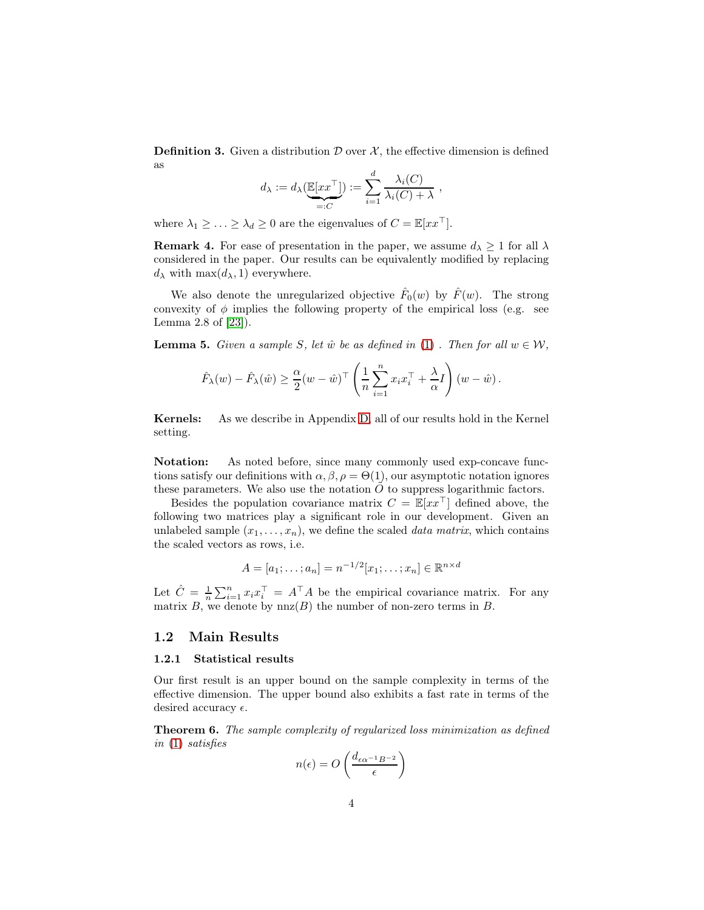**Definition 3.** Given a distribution  $\mathcal{D}$  over  $\mathcal{X}$ , the effective dimension is defined as

$$
d_{\lambda} := d_{\lambda}(\underbrace{\mathbb{E}[xx^{\top}]}_{=:C}) := \sum_{i=1}^{d} \frac{\lambda_i(C)}{\lambda_i(C) + \lambda} ,
$$

where  $\lambda_1 \geq \ldots \geq \lambda_d \geq 0$  are the eigenvalues of  $C = \mathbb{E}[xx^\top]$ .

**Remark 4.** For ease of presentation in the paper, we assume  $d_{\lambda} \geq 1$  for all  $\lambda$ considered in the paper. Our results can be equivalently modified by replacing  $d_{\lambda}$  with max $(d_{\lambda}, 1)$  everywhere.

We also denote the unregularized objective  $\hat{F}_0(w)$  by  $\hat{F}(w)$ . The strong convexity of  $\phi$  implies the following property of the empirical loss (e.g. see Lemma 2.8 of [\[23\]](#page-15-5)).

<span id="page-3-1"></span>**Lemma 5.** Given a sample S, let  $\hat{w}$  be as defined in [\(1\)](#page-2-3). Then for all  $w \in \mathcal{W}$ ,

$$
\hat{F}_{\lambda}(w) - \hat{F}_{\lambda}(\hat{w}) \ge \frac{\alpha}{2}(w - \hat{w})^{\top} \left(\frac{1}{n} \sum_{i=1}^{n} x_i x_i^{\top} + \frac{\lambda}{\alpha} I\right)(w - \hat{w}).
$$

Kernels: As we describe in Appendix [D,](#page-23-0) all of our results hold in the Kernel setting.

Notation: As noted before, since many commonly used exp-concave functions satisfy our definitions with  $\alpha, \beta, \rho = \Theta(1)$ , our asymptotic notation ignores these parameters. We also use the notation  $\tilde{O}$  to suppress logarithmic factors.

Besides the population covariance matrix  $C = \mathbb{E}[xx]$  defined above, the following two matrices play a significant role in our development. Given an unlabeled sample  $(x_1, \ldots, x_n)$ , we define the scaled *data matrix*, which contains the scaled vectors as rows, i.e.

$$
A = [a_1; \dots; a_n] = n^{-1/2}[x_1; \dots; x_n] \in \mathbb{R}^{n \times d}
$$

Let  $\hat{C} = \frac{1}{n} \sum_{i=1}^{n} x_i x_i^{\top} = A^{\top} A$  be the empirical covariance matrix. For any matrix B, we denote by  $nnz(B)$  the number of non-zero terms in B.

### 1.2 Main Results

#### 1.2.1 Statistical results

Our first result is an upper bound on the sample complexity in terms of the effective dimension. The upper bound also exhibits a fast rate in terms of the desired accuracy  $\epsilon$ .

<span id="page-3-0"></span>Theorem 6. The sample complexity of regularized loss minimization as defined in [\(1\)](#page-2-3) satisfies

$$
n(\epsilon) = O\left(\frac{d_{\epsilon\alpha^{-1}B^{-2}}}{\epsilon}\right)
$$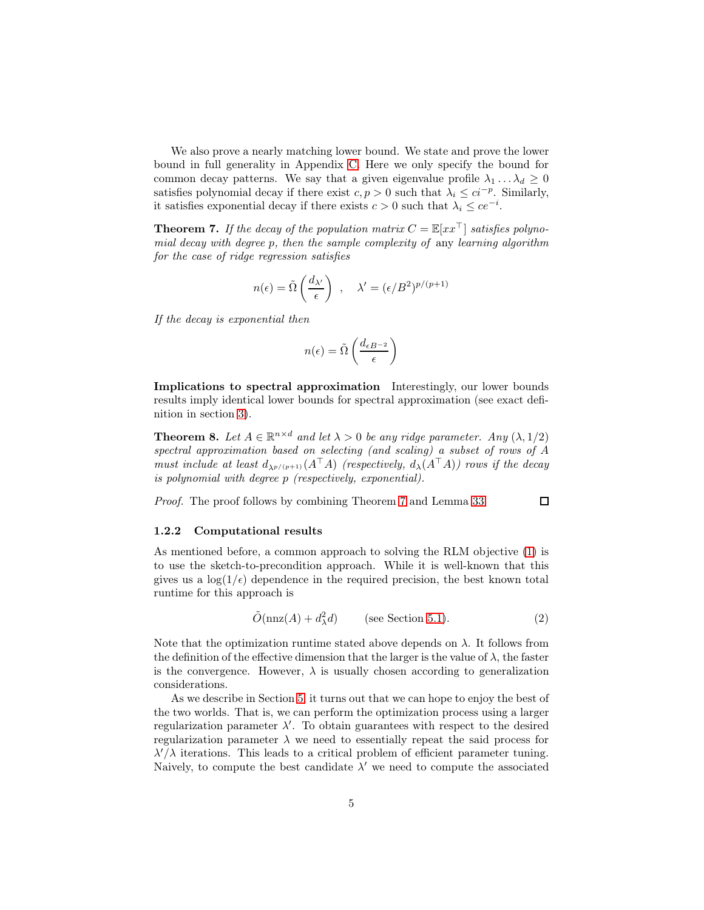We also prove a nearly matching lower bound. We state and prove the lower bound in full generality in Appendix [C.](#page-19-0) Here we only specify the bound for common decay patterns. We say that a given eigenvalue profile  $\lambda_1 \dots \lambda_d \geq 0$ satisfies polynomial decay if there exist  $c, p > 0$  such that  $\lambda_i \leq c i^{-p}$ . Similarly, it satisfies exponential decay if there exists  $c > 0$  such that  $\lambda_i \leq ce^{-i}$ .

<span id="page-4-0"></span>**Theorem 7.** If the decay of the population matrix  $C = \mathbb{E}[xx^{\top}]$  satisfies polynomial decay with degree p, then the sample complexity of any learning algorithm for the case of ridge regression satisfies

$$
n(\epsilon) = \tilde{\Omega}\left(\frac{d_{\lambda'}}{\epsilon}\right) , \quad \lambda' = (\epsilon/B^2)^{p/(p+1)}
$$

If the decay is exponential then

$$
n(\epsilon) = \tilde{\Omega}\left(\frac{d_{\epsilon B^{-2}}}{\epsilon}\right)
$$

Implications to spectral approximation Interestingly, our lower bounds results imply identical lower bounds for spectral approximation (see exact definition in section [3\)](#page-6-0).

**Theorem 8.** Let  $A \in \mathbb{R}^{n \times d}$  and let  $\lambda > 0$  be any ridge parameter. Any  $(\lambda, 1/2)$ spectral approximation based on selecting (and scaling) a subset of rows of A must include at least  $d_{\lambda^{p/(p+1)}}(A^{\top}A)$  (respectively,  $d_{\lambda}(A^{\top}A)$ ) rows if the decay is polynomial with degree p (respectively, exponential).

Proof. The proof follows by combining Theorem [7](#page-4-0) and Lemma [33.](#page-25-0)  $\Box$ 

#### 1.2.2 Computational results

As mentioned before, a common approach to solving the RLM objective [\(1\)](#page-2-3) is to use the sketch-to-precondition approach. While it is well-known that this gives us a  $\log(1/\epsilon)$  dependence in the required precision, the best known total runtime for this approach is

<span id="page-4-1"></span>
$$
\tilde{O}(\operatorname{nnz}(A) + d_{\lambda}^2 d) \qquad \text{(see Section 5.1)}.
$$

Note that the optimization runtime stated above depends on  $\lambda$ . It follows from the definition of the effective dimension that the larger is the value of  $\lambda$ , the faster is the convergence. However,  $\lambda$  is usually chosen according to generalization considerations.

As we describe in Section [5,](#page-10-1) it turns out that we can hope to enjoy the best of the two worlds. That is, we can perform the optimization process using a larger regularization parameter  $\lambda'$ . To obtain guarantees with respect to the desired regularization parameter  $\lambda$  we need to essentially repeat the said process for  $\lambda'/\lambda$  iterations. This leads to a critical problem of efficient parameter tuning. Naively, to compute the best candidate  $\lambda'$  we need to compute the associated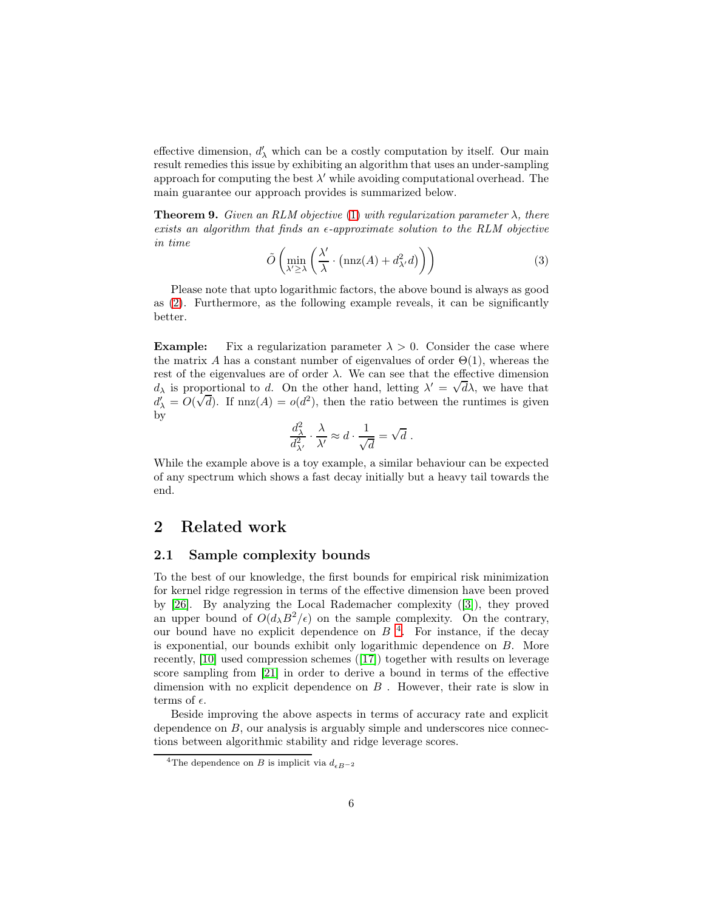effective dimension,  $d'_{\lambda}$  which can be a costly computation by itself. Our main result remedies this issue by exhibiting an algorithm that uses an under-sampling approach for computing the best  $\lambda'$  while avoiding computational overhead. The main guarantee our approach provides is summarized below.

<span id="page-5-1"></span>**Theorem 9.** Given an RLM objective [\(1\)](#page-2-3) with regularization parameter  $\lambda$ , there exists an algorithm that finds an  $\epsilon$ -approximate solution to the RLM objective in time

$$
\tilde{O}\left(\min_{\lambda' \ge \lambda} \left(\frac{\lambda'}{\lambda} \cdot \left(\operatorname{nnz}(A) + d_{\lambda'}^2 d\right)\right)\right) \tag{3}
$$

Please note that upto logarithmic factors, the above bound is always as good as [\(2\)](#page-4-1). Furthermore, as the following example reveals, it can be significantly better.

**Example:** Fix a regularization parameter  $\lambda > 0$ . Consider the case where the matrix A has a constant number of eigenvalues of order  $\Theta(1)$ , whereas the rest of the eigenvalues are of order  $\lambda$ . We can see that the effective dimension  $d_{\lambda}$  is proportional to d. On the other hand, letting  $\lambda' = \sqrt{d\lambda}$ , we have that  $d'_{\lambda} = O(\sqrt{d})$ . If  $niz(A) = o(d^2)$ , then the ratio between the runtimes is given by

$$
\frac{d_\lambda^2}{d_{\lambda'}^2}\cdot \frac{\lambda}{\lambda'}\approx d\cdot \frac{1}{\sqrt{d}}=\sqrt{d}\ .
$$

While the example above is a toy example, a similar behaviour can be expected of any spectrum which shows a fast decay initially but a heavy tail towards the end.

## 2 Related work

### 2.1 Sample complexity bounds

To the best of our knowledge, the first bounds for empirical risk minimization for kernel ridge regression in terms of the effective dimension have been proved by [\[26\]](#page-15-6). By analyzing the Local Rademacher complexity ([\[3\]](#page-14-3)), they proved an upper bound of  $O(d_\lambda B^2/\epsilon)$  on the sample complexity. On the contrary, our bound have no explicit dependence on  $B<sup>4</sup>$  $B<sup>4</sup>$  $B<sup>4</sup>$ . For instance, if the decay is exponential, our bounds exhibit only logarithmic dependence on B. More recently, [\[10\]](#page-14-4) used compression schemes ([\[17\]](#page-15-7)) together with results on leverage score sampling from [\[21\]](#page-15-8) in order to derive a bound in terms of the effective dimension with no explicit dependence on  $B$ . However, their rate is slow in terms of  $\epsilon$ .

Beside improving the above aspects in terms of accuracy rate and explicit dependence on  $B$ , our analysis is arguably simple and underscores nice connections between algorithmic stability and ridge leverage scores.

<span id="page-5-0"></span><sup>&</sup>lt;sup>4</sup>The dependence on B is implicit via  $d_{\epsilon B-2}$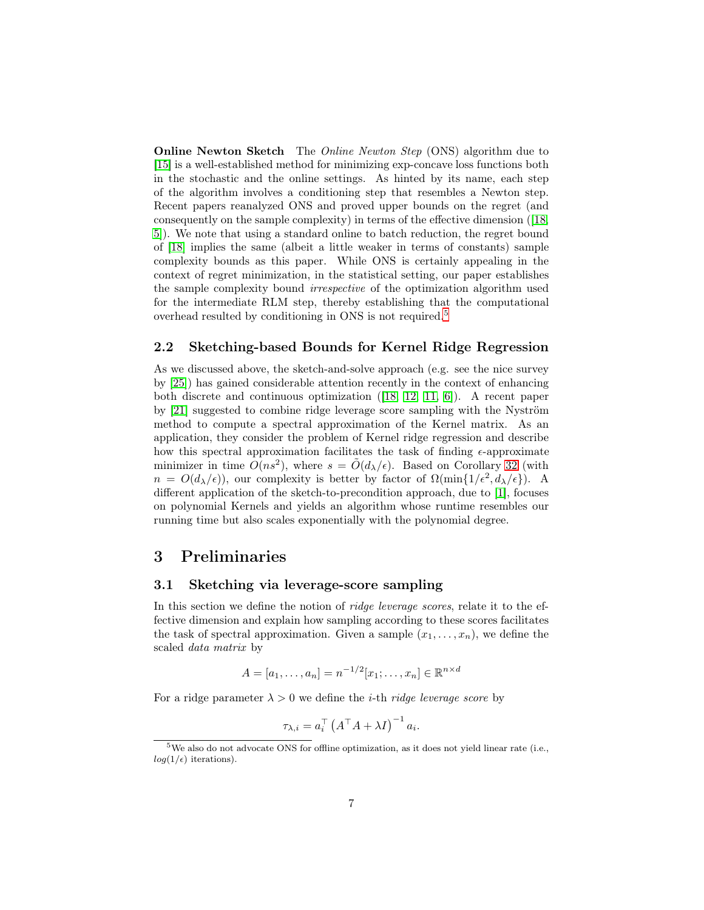**Online Newton Sketch** The *Online Newton Step* (ONS) algorithm due to [\[15\]](#page-15-9) is a well-established method for minimizing exp-concave loss functions both in the stochastic and the online settings. As hinted by its name, each step of the algorithm involves a conditioning step that resembles a Newton step. Recent papers reanalyzed ONS and proved upper bounds on the regret (and consequently on the sample complexity) in terms of the effective dimension ([\[18,](#page-15-10) [5\]](#page-14-5)). We note that using a standard online to batch reduction, the regret bound of [\[18\]](#page-15-10) implies the same (albeit a little weaker in terms of constants) sample complexity bounds as this paper. While ONS is certainly appealing in the context of regret minimization, in the statistical setting, our paper establishes the sample complexity bound irrespective of the optimization algorithm used for the intermediate RLM step, thereby establishing that the computational overhead resulted by conditioning in ONS is not required.[5](#page-6-1)

### 2.2 Sketching-based Bounds for Kernel Ridge Regression

As we discussed above, the sketch-and-solve approach (e.g. see the nice survey by [\[25\]](#page-15-0)) has gained considerable attention recently in the context of enhancing both discrete and continuous optimization ([\[18,](#page-15-10) [12,](#page-15-11) [11,](#page-14-2) [6\]](#page-14-0)). A recent paper by [\[21\]](#page-15-8) suggested to combine ridge leverage score sampling with the Nyström method to compute a spectral approximation of the Kernel matrix. As an application, they consider the problem of Kernel ridge regression and describe how this spectral approximation facilitates the task of finding  $\epsilon$ -approximate minimizer in time  $O(ns^2)$ , where  $s = \tilde{O}(d_{\lambda}/\epsilon)$ . Based on Corollary [32](#page-24-0) (with  $n = O(d_{\lambda}/\epsilon)$ , our complexity is better by factor of  $\Omega(\min\{1/\epsilon^2, d_{\lambda}/\epsilon\})$ . A different application of the sketch-to-precondition approach, due to [\[1\]](#page-14-1), focuses on polynomial Kernels and yields an algorithm whose runtime resembles our running time but also scales exponentially with the polynomial degree.

## <span id="page-6-0"></span>3 Preliminaries

#### 3.1 Sketching via leverage-score sampling

In this section we define the notion of *ridge leverage scores*, relate it to the effective dimension and explain how sampling according to these scores facilitates the task of spectral approximation. Given a sample  $(x_1, \ldots, x_n)$ , we define the scaled data matrix by

$$
A = [a_1, \dots, a_n] = n^{-1/2} [x_1; \dots, x_n] \in \mathbb{R}^{n \times d}
$$

For a ridge parameter  $\lambda > 0$  we define the *i*-th *ridge leverage score* by

$$
\tau_{\lambda,i} = a_i^\top \left( A^\top A + \lambda I \right)^{-1} a_i.
$$

<span id="page-6-1"></span> $5$ We also do not advocate ONS for offline optimization, as it does not yield linear rate (i.e.,  $log(1/\epsilon)$  iterations).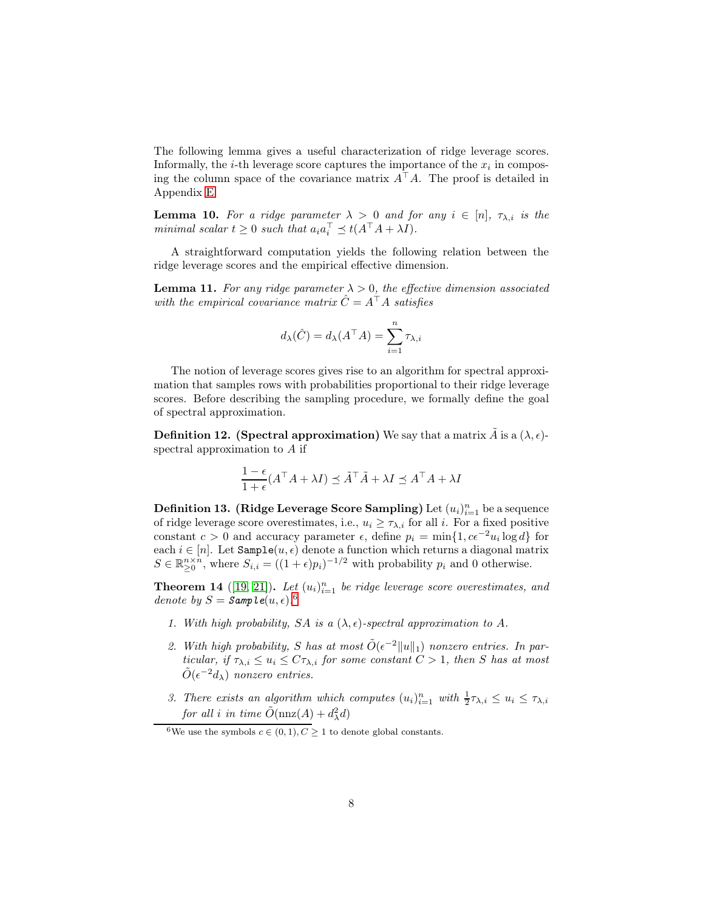The following lemma gives a useful characterization of ridge leverage scores. Informally, the *i*-th leverage score captures the importance of the  $x_i$  in composing the column space of the covariance matrix  $A^{\mathsf{T}}A$ . The proof is detailed in Appendix [E.](#page-24-1)

<span id="page-7-1"></span>**Lemma 10.** For a ridge parameter  $\lambda > 0$  and for any  $i \in [n]$ ,  $\tau_{\lambda,i}$  is the minimal scalar  $t \geq 0$  such that  $a_i a_i^{\perp} \preceq t(A^{\perp} A + \lambda I)$ .

A straightforward computation yields the following relation between the ridge leverage scores and the empirical effective dimension.

**Lemma 11.** For any ridge parameter  $\lambda > 0$ , the effective dimension associated with the empirical covariance matrix  $\hat{C} = A^{\top} A$  satisfies

$$
d_{\lambda}(\hat{C}) = d_{\lambda}(A^{\top}A) = \sum_{i=1}^{n} \tau_{\lambda,i}
$$

The notion of leverage scores gives rise to an algorithm for spectral approximation that samples rows with probabilities proportional to their ridge leverage scores. Before describing the sampling procedure, we formally define the goal of spectral approximation.

**Definition 12.** (Spectral approximation) We say that a matrix  $\tilde{A}$  is a  $(\lambda, \epsilon)$ spectral approximation to A if

$$
\frac{1-\epsilon}{1+\epsilon}(A^{\top}A + \lambda I) \preceq \tilde{A}^{\top}\tilde{A} + \lambda I \preceq A^{\top}A + \lambda I
$$

<span id="page-7-2"></span>**Definition 13. (Ridge Leverage Score Sampling)** Let  $(u_i)_{i=1}^n$  be a sequence of ridge leverage score overestimates, i.e.,  $u_i \geq \tau_{\lambda,i}$  for all i. For a fixed positive constant  $c > 0$  and accuracy parameter  $\epsilon$ , define  $p_i = \min\{1, ce^{-2u_i}\log d\}$  for each  $i \in [n]$ . Let  $\texttt{Sample}(u, \epsilon)$  denote a function which returns a diagonal matrix  $S \in \mathbb{R}_{\geq 0}^{n \times n}$ , where  $S_{i,i} = ((1 + \epsilon)p_i)^{-1/2}$  with probability  $p_i$  and 0 otherwise.

<span id="page-7-3"></span>**Theorem 14** ([\[19,](#page-15-12) [21\]](#page-15-8)). Let  $(u_i)_{i=1}^n$  be ridge leverage score overestimates, and denote by  $S = \text{Samp le}(u, \epsilon)$ .<sup>[6](#page-7-0)</sup>

- 1. With high probability, SA is a  $(\lambda, \epsilon)$ -spectral approximation to A.
- 2. With high probability, S has at most  $\tilde{O}(\epsilon^{-2}||u||_1)$  nonzero entries. In particular, if  $\tau_{\lambda,i} \leq u_i \leq C\tau_{\lambda,i}$  for some constant  $C > 1$ , then S has at most  $\tilde{O}(\epsilon^{-2}d_{\lambda})$  nonzero entries.
- 3. There exists an algorithm which computes  $(u_i)_{i=1}^n$  with  $\frac{1}{2}\tau_{\lambda,i} \leq u_i \leq \tau_{\lambda,i}$ for all i in time  $\tilde{O}(\text{nnz}(A) + d_{\lambda}^2 d)$

<span id="page-7-0"></span><sup>&</sup>lt;sup>6</sup>We use the symbols  $c \in (0,1), C > 1$  to denote global constants.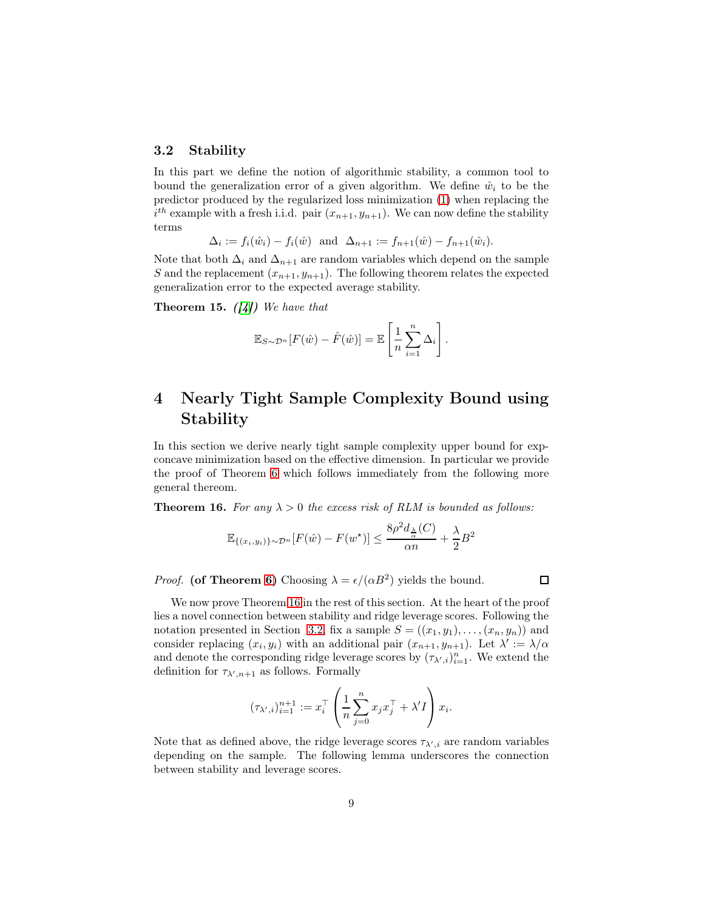### <span id="page-8-1"></span>3.2 Stability

In this part we define the notion of algorithmic stability, a common tool to bound the generalization error of a given algorithm. We define  $\hat{w}_i$  to be the predictor produced by the regularized loss minimization [\(1\)](#page-2-3) when replacing the  $i^{th}$  example with a fresh i.i.d. pair  $(x_{n+1}, y_{n+1})$ . We can now define the stability terms

$$
\Delta_i := f_i(\hat{w}_i) - f_i(\hat{w}) \text{ and } \Delta_{n+1} := f_{n+1}(\hat{w}) - f_{n+1}(\hat{w}_i).
$$

Note that both  $\Delta_i$  and  $\Delta_{n+1}$  are random variables which depend on the sample S and the replacement  $(x_{n+1}, y_{n+1})$ . The following theorem relates the expected generalization error to the expected average stability.

<span id="page-8-2"></span>**Theorem 15.** ([\[4\]](#page-14-6)) We have that

$$
\mathbb{E}_{S \sim \mathcal{D}^n} [F(\hat{w}) - \hat{F}(\hat{w})] = \mathbb{E} \left[ \frac{1}{n} \sum_{i=1}^n \Delta_i \right].
$$

# 4 Nearly Tight Sample Complexity Bound using Stability

In this section we derive nearly tight sample complexity upper bound for expconcave minimization based on the effective dimension. In particular we provide the proof of Theorem [6](#page-3-0) which follows immediately from the following more general thereom.

<span id="page-8-0"></span>**Theorem 16.** For any  $\lambda > 0$  the excess risk of RLM is bounded as follows:

$$
\mathbb{E}_{\{(x_i,y_i)\}\sim\mathcal{D}^n}[F(\hat{w}) - F(w^\star)] \le \frac{8\rho^2 d_{\frac{\lambda}{\alpha}}(C)}{\alpha n} + \frac{\lambda}{2}B^2
$$

*Proof.* (of Theorem [6\)](#page-3-0) Choosing  $\lambda = \epsilon/(\alpha B^2)$  yields the bound.

 $\Box$ 

We now prove Theorem [16](#page-8-0) in the rest of this section. At the heart of the proof lies a novel connection between stability and ridge leverage scores. Following the notation presented in Section [3.2,](#page-8-1) fix a sample  $S = ((x_1, y_1), \ldots, (x_n, y_n))$  and consider replacing  $(x_i, y_i)$  with an additional pair  $(x_{n+1}, y_{n+1})$ . Let  $\lambda' := \lambda/\alpha$ and denote the corresponding ridge leverage scores by  $(\tau_{\lambda',i})_{i=1}^n$ . We extend the definition for  $\tau_{\lambda',n+1}$  as follows. Formally

$$
(\tau_{\lambda',i})_{i=1}^{n+1} := x_i^\top \left( \frac{1}{n} \sum_{j=0}^n x_j x_j^\top + \lambda' I \right) x_i.
$$

<span id="page-8-3"></span>Note that as defined above, the ridge leverage scores  $\tau_{\lambda',i}$  are random variables depending on the sample. The following lemma underscores the connection between stability and leverage scores.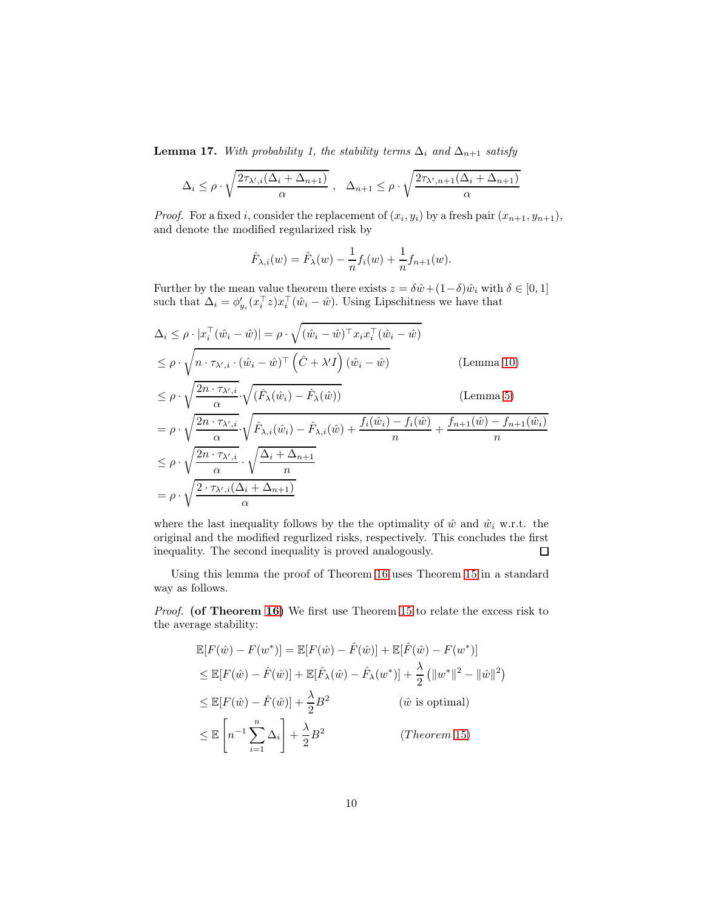**Lemma 17.** With probability 1, the stability terms  $\Delta_i$  and  $\Delta_{n+1}$  satisfy

$$
\Delta_i \le \rho \cdot \sqrt{\frac{2\tau_{\lambda',i}(\Delta_i + \Delta_{n+1})}{\alpha}} , \quad \Delta_{n+1} \le \rho \cdot \sqrt{\frac{2\tau_{\lambda',n+1}(\Delta_i + \Delta_{n+1})}{\alpha}}
$$

*Proof.* For a fixed i, consider the replacement of  $(x_i, y_i)$  by a fresh pair  $(x_{n+1}, y_{n+1})$ , and denote the modified regularized risk by

$$
\hat{F}_{\lambda,i}(w) = \hat{F}_{\lambda}(w) - \frac{1}{n}f_i(w) + \frac{1}{n}f_{n+1}(w).
$$

Further by the mean value theorem there exists  $z = \delta \hat{w} + (1-\delta) \hat{w}_i$  with  $\delta \in [0,1]$ such that  $\Delta_i = \phi'_{y_i}(x_i^{\dagger} z)x_i^{\dagger}(\hat{w}_i - \hat{w})$ . Using Lipschitness we have that

$$
\Delta_i \leq \rho \cdot |x_i^\top (\hat{w}_i - \hat{w})| = \rho \cdot \sqrt{(\hat{w}_i - \hat{w})^\top x_i x_i^\top (\hat{w}_i - \hat{w})}
$$
\n
$$
\leq \rho \cdot \sqrt{n \cdot \tau_{\lambda',i} \cdot (\hat{w}_i - \hat{w})^\top (\hat{C} + \lambda' I)(\hat{w}_i - \hat{w})}
$$
\n
$$
\leq \rho \cdot \sqrt{\frac{2n \cdot \tau_{\lambda',i}}{\alpha}} \cdot \sqrt{(\hat{F}_{\lambda}(\hat{w}_i) - \hat{F}_{\lambda}(\hat{w}))}
$$
\n(Lemma 10)\n
$$
= \rho \cdot \sqrt{\frac{2n \cdot \tau_{\lambda',i}}{\alpha}} \cdot \sqrt{\hat{F}_{\lambda,i}(\hat{w}_i) - \hat{F}_{\lambda,i}(\hat{w}) + \frac{f_i(\hat{w}_i) - f_i(\hat{w})}{\alpha} + \frac{f_{n+1}(\hat{w}) - f_{n+1}(\hat{w}_i)}{\alpha}}
$$

$$
= \rho \cdot \sqrt{\frac{2n \cdot \tau_{\lambda',i}}{\alpha}} \cdot \sqrt{\hat{F}_{\lambda,i}(\hat{w}_i) - \hat{F}_{\lambda,i}(\hat{w}) + \frac{f_i(\hat{w}_i) - f_i(\hat{w})}{n} + \frac{f_{n+1}(\hat{w}) - f_{n+1}(\hat{w}_i)}{n}}
$$
  
\n
$$
\leq \rho \cdot \sqrt{\frac{2n \cdot \tau_{\lambda',i}}{\alpha}} \cdot \sqrt{\frac{\Delta_i + \Delta_{n+1}}{n}}
$$
  
\n
$$
= \rho \cdot \sqrt{\frac{2 \cdot \tau_{\lambda',i}(\Delta_i + \Delta_{n+1})}{\alpha}}
$$

where the last inequality follows by the the optimality of  $\hat{w}$  and  $\hat{w}_i$  w.r.t. the original and the modified regurlized risks, respectively. This concludes the first inequality. The second inequality is proved analogously. 口

Using this lemma the proof of Theorem [16](#page-8-0) uses Theorem [15](#page-8-2) in a standard way as follows.

Proof. (of Theorem [16\)](#page-8-0) We first use Theorem [15](#page-8-2) to relate the excess risk to the average stability:

$$
\mathbb{E}[F(\hat{w}) - F(w^*)] = \mathbb{E}[F(\hat{w}) - \hat{F}(\hat{w})] + \mathbb{E}[\hat{F}(\hat{w}) - F(w^*)]
$$
\n
$$
\leq \mathbb{E}[F(\hat{w}) - \hat{F}(\hat{w})] + \mathbb{E}[\hat{F}_{\lambda}(\hat{w}) - \hat{F}_{\lambda}(w^*)] + \frac{\lambda}{2} (||w^*||^2 - ||\hat{w}||^2)
$$
\n
$$
\leq \mathbb{E}[F(\hat{w}) - \hat{F}(\hat{w})] + \frac{\lambda}{2}B^2 \qquad (\hat{w} \text{ is optimal})
$$
\n
$$
\leq \mathbb{E}\left[n^{-1}\sum_{i=1}^n \Delta_i\right] + \frac{\lambda}{2}B^2 \qquad (Theorem 15)
$$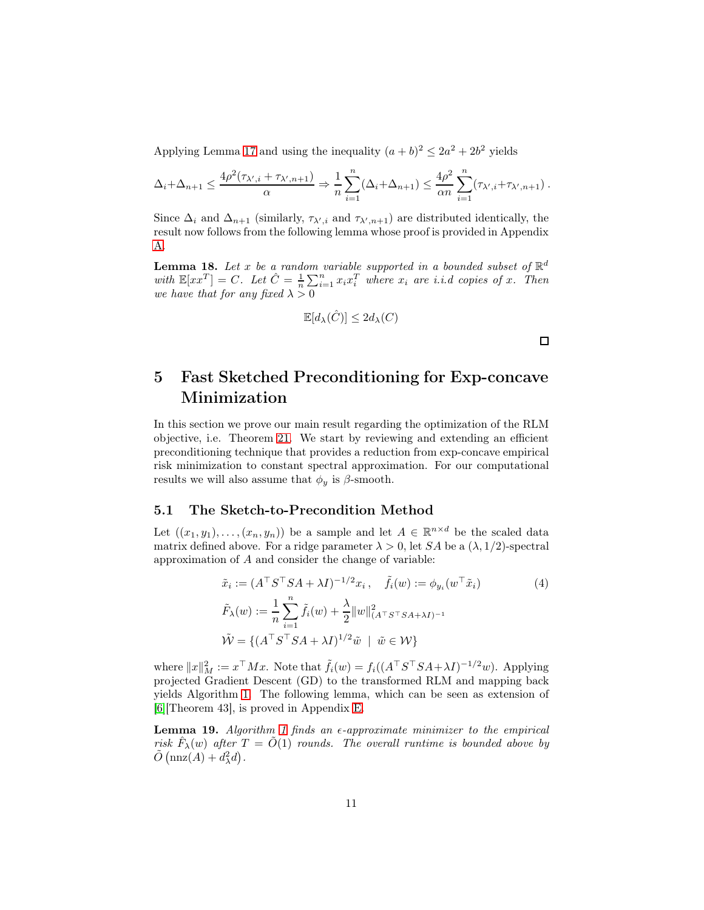Applying Lemma [17](#page-8-3) and using the inequality  $(a + b)^2 \le 2a^2 + 2b^2$  yields

$$
\Delta_i + \Delta_{n+1} \le \frac{4\rho^2(\tau_{\lambda',i} + \tau_{\lambda',n+1})}{\alpha} \Rightarrow \frac{1}{n} \sum_{i=1}^n (\Delta_i + \Delta_{n+1}) \le \frac{4\rho^2}{\alpha n} \sum_{i=1}^n (\tau_{\lambda',i} + \tau_{\lambda',n+1}).
$$

Since  $\Delta_i$  and  $\Delta_{n+1}$  (similarly,  $\tau_{\lambda',i}$  and  $\tau_{\lambda',n+1}$ ) are distributed identically, the result now follows from the following lemma whose proof is provided in Appendix [A.](#page-16-0)

<span id="page-10-4"></span>**Lemma 18.** Let x be a random variable supported in a bounded subset of  $\mathbb{R}^d$ with  $\mathbb{E}[xx^T] = C$ . Let  $\hat{C} = \frac{1}{n} \sum_{i=1}^n x_i x_i^T$  where  $x_i$  are i.i.d copies of x. Then we have that for any fixed  $\lambda > 0$ 

$$
\mathbb{E}[d_{\lambda}(\hat{C})] \le 2d_{\lambda}(C)
$$

<span id="page-10-2"></span> $\Box$ 

# <span id="page-10-1"></span>5 Fast Sketched Preconditioning for Exp-concave Minimization

In this section we prove our main result regarding the optimization of the RLM objective, i.e. Theorem [21.](#page-12-0) We start by reviewing and extending an efficient preconditioning technique that provides a reduction from exp-concave empirical risk minimization to constant spectral approximation. For our computational results we will also assume that  $\phi_y$  is  $\beta$ -smooth.

### <span id="page-10-0"></span>5.1 The Sketch-to-Precondition Method

Let  $((x_1, y_1), \ldots, (x_n, y_n))$  be a sample and let  $A \in \mathbb{R}^{n \times d}$  be the scaled data matrix defined above. For a ridge parameter  $\lambda > 0$ , let SA be a  $(\lambda, 1/2)$ -spectral approximation of A and consider the change of variable:

$$
\tilde{x}_i := (A^\top S^\top SA + \lambda I)^{-1/2} x_i, \quad \tilde{f}_i(w) := \phi_{y_i}(w^\top \tilde{x}_i)
$$
\n
$$
\tilde{F}_\lambda(w) := \frac{1}{n} \sum_{i=1}^n \tilde{f}_i(w) + \frac{\lambda}{2} ||w||_{(A^\top S^\top SA + \lambda I)^{-1}}^2
$$
\n
$$
\tilde{W} = \{ (A^\top S^\top SA + \lambda I)^{1/2} \tilde{w} \mid \tilde{w} \in \mathcal{W} \}
$$
\n(4)

where  $||x||_M^2 := x^\top M x$ . Note that  $\tilde{f}_i(w) = f_i((A^\top S^\top S A + \lambda I)^{-1/2} w)$ . Applying projected Gradient Descent (GD) to the transformed RLM and mapping back yields Algorithm [1.](#page-11-0) The following lemma, which can be seen as extension of [\[6\]](#page-14-0)[Theorem 43], is proved in Appendix [E.](#page-24-1)

<span id="page-10-3"></span>**Lemma [1](#page-11-0)9.** Algorithm 1 finds an  $\epsilon$ -approximate minimizer to the empirical risk  $\hat{F}_{\lambda}(w)$  after  $T = \tilde{O}(1)$  rounds. The overall runtime is bounded above by  $\tilde{O}(\text{nnz}(A) + d_{\lambda}^2 d).$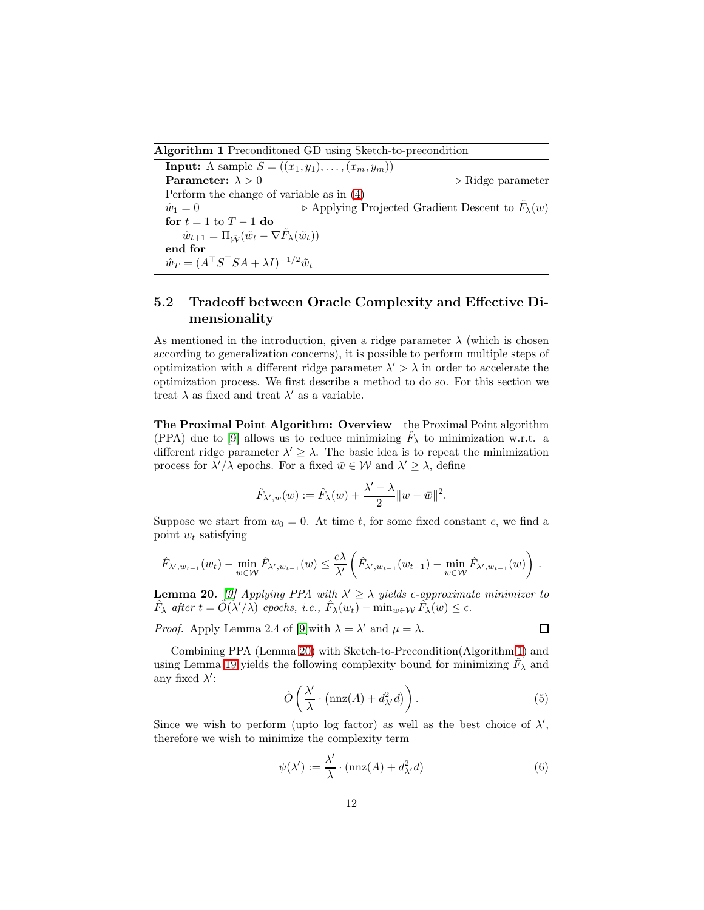<span id="page-11-0"></span>Algorithm 1 Preconditoned GD using Sketch-to-precondition

**Input:** A sample  $S = ((x_1, y_1), \ldots, (x_m, y_m))$ **Parameter:**  $\lambda > 0$  ⊳ Ridge parameter Perform the change of variable as in [\(4\)](#page-10-2)  $\tilde{w}_1 = 0$   $\triangleright$  Applying Projected Gradient Descent to  $\tilde{F}_\lambda(w)$ for  $t = 1$  to  $T - 1$  do  $\tilde{w}_{t+1} = \Pi_{\tilde{\mathcal{W}}}(\tilde{w}_t - \nabla \tilde{F}_\lambda(\tilde{w}_t))$ end for  $\hat{w}_T = (A^\top S^\top SA + \lambda I)^{-1/2} \tilde{w}_t$ 

## 5.2 Tradeoff between Oracle Complexity and Effective Dimensionality

As mentioned in the introduction, given a ridge parameter  $\lambda$  (which is chosen according to generalization concerns), it is possible to perform multiple steps of optimization with a different ridge parameter  $\lambda' > \lambda$  in order to accelerate the optimization process. We first describe a method to do so. For this section we treat  $\lambda$  as fixed and treat  $\lambda'$  as a variable.

The Proximal Point Algorithm: Overview the Proximal Point algorithm (PPA) due to [\[9\]](#page-14-7) allows us to reduce minimizing  $\hat{F}_{\lambda}$  to minimization w.r.t. a different ridge parameter  $\lambda' \geq \lambda$ . The basic idea is to repeat the minimization process for  $\lambda'/\lambda$  epochs. For a fixed  $\bar{w} \in \mathcal{W}$  and  $\lambda' \geq \lambda$ , define

$$
\hat{F}_{\lambda',\bar{w}}(w) := \hat{F}_{\lambda}(w) + \frac{\lambda' - \lambda}{2} ||w - \bar{w}||^2.
$$

Suppose we start from  $w_0 = 0$ . At time t, for some fixed constant c, we find a point  $w_t$  satisfying

$$
\hat{F}_{\lambda',w_{t-1}}(w_t) - \min_{w \in \mathcal{W}} \hat{F}_{\lambda',w_{t-1}}(w) \leq \frac{c\lambda}{\lambda'} \left( \hat{F}_{\lambda',w_{t-1}}(w_{t-1}) - \min_{w \in \mathcal{W}} \hat{F}_{\lambda',w_{t-1}}(w) \right).
$$

<span id="page-11-1"></span>**Lemma 20.** [\[9\]](#page-14-7) Applying PPA with  $\lambda' \geq \lambda$  yields  $\epsilon$ -approximate minimizer to  $\hat{F}_{\lambda}$  after  $t = \hat{O}(\lambda'/\lambda)$  epochs, i.e.,  $\hat{F}_{\lambda}(w_t) - \min_{w \in \mathcal{W}} \hat{F}_{\lambda}(w) \leq \epsilon$ .

*Proof.* Apply Lemma 2.4 of [\[9\]](#page-14-7) with  $\lambda = \lambda'$  and  $\mu = \lambda$ .

Combining PPA (Lemma [20\)](#page-11-1) with Sketch-to-Precondition(Algorithm [1\)](#page-11-0) and using Lemma [19](#page-10-3) yields the following complexity bound for minimizing  $\hat{F}_{\lambda}$  and any fixed  $\lambda$ ':

<span id="page-11-3"></span>
$$
\tilde{O}\left(\frac{\lambda'}{\lambda}\cdot\left(\mathrm{nnz}(A)+d_{\lambda'}^2d\right)\right). \tag{5}
$$

Since we wish to perform (upto log factor) as well as the best choice of  $\lambda'$ , therefore we wish to minimize the complexity term

<span id="page-11-2"></span>
$$
\psi(\lambda') := \frac{\lambda'}{\lambda} \cdot (\text{nnz}(A) + d_{\lambda'}^2 d) \tag{6}
$$

 $\Box$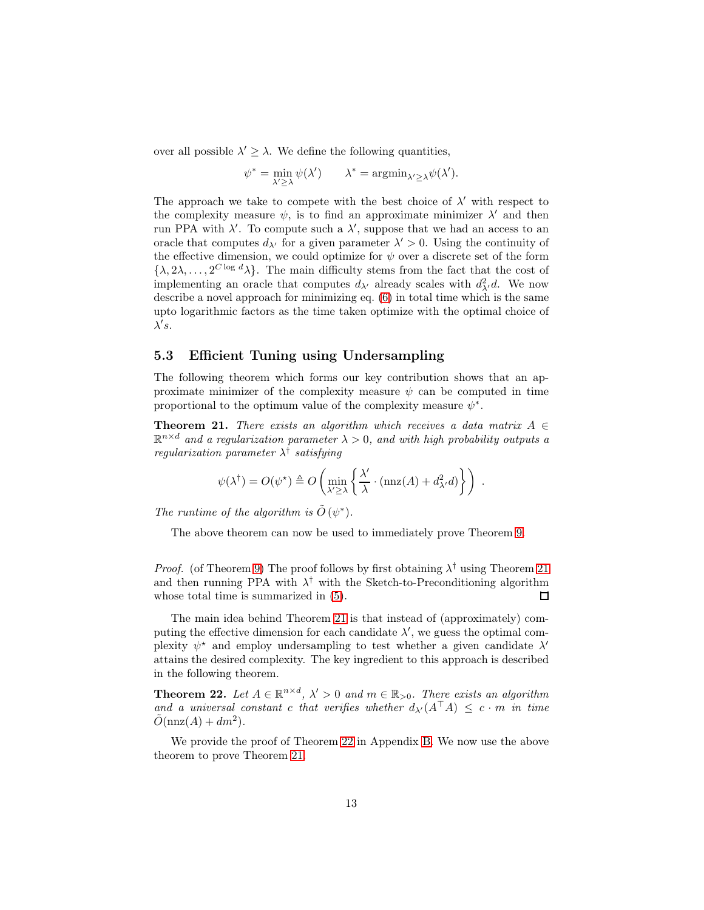over all possible  $\lambda' \geq \lambda$ . We define the following quantities,

$$
\psi^* = \min_{\lambda' \ge \lambda} \psi(\lambda') \qquad \lambda^* = \operatorname{argmin}_{\lambda' \ge \lambda} \psi(\lambda').
$$

The approach we take to compete with the best choice of  $\lambda'$  with respect to the complexity measure  $\psi$ , is to find an approximate minimizer  $\lambda'$  and then run PPA with  $\lambda'$ . To compute such a  $\lambda'$ , suppose that we had an access to an oracle that computes  $d_{\lambda'}$  for a given parameter  $\lambda' > 0$ . Using the continuity of the effective dimension, we could optimize for  $\psi$  over a discrete set of the form  $\{\lambda, 2\lambda, \ldots, 2^{C \log d} \lambda\}$ . The main difficulty stems from the fact that the cost of implementing an oracle that computes  $d_{\lambda'}$  already scales with  $d_{\lambda'}^2 d$ . We now describe a novel approach for minimizing eq. [\(6\)](#page-11-2) in total time which is the same upto logarithmic factors as the time taken optimize with the optimal choice of  $\lambda's$ .

#### 5.3 Efficient Tuning using Undersampling

The following theorem which forms our key contribution shows that an approximate minimizer of the complexity measure  $\psi$  can be computed in time proportional to the optimum value of the complexity measure  $\psi^*$ .

<span id="page-12-0"></span>**Theorem 21.** There exists an algorithm which receives a data matrix  $A \in$  $\mathbb{R}^{n \times d}$  and a regularization parameter  $\lambda > 0$ , and with high probability outputs a regularization parameter  $\lambda^{\dagger}$  satisfying

$$
\psi(\lambda^{\dagger}) = O(\psi^{\star}) \triangleq O\left(\min_{\lambda' \geq \lambda} \left\{ \frac{\lambda'}{\lambda} \cdot (\max(A) + d_{\lambda'}^2 d) \right\} \right) .
$$

The runtime of the algorithm is  $\tilde{O}(\psi^*)$ .

The above theorem can now be used to immediately prove Theorem [9.](#page-5-1)

*Proof.* (of Theorem [9\)](#page-5-1) The proof follows by first obtaining  $\lambda^{\dagger}$  using Theorem [21](#page-12-0) and then running PPA with  $\lambda^{\dagger}$  with the Sketch-to-Preconditioning algorithm whose total time is summarized in [\(5\)](#page-11-3).  $\Box$ 

The main idea behind Theorem [21](#page-12-0) is that instead of (approximately) computing the effective dimension for each candidate  $\lambda'$ , we guess the optimal complexity  $\psi^*$  and employ undersampling to test whether a given candidate  $\lambda'$ attains the desired complexity. The key ingredient to this approach is described in the following theorem.

<span id="page-12-1"></span>**Theorem 22.** Let  $A \in \mathbb{R}^{n \times d}$ ,  $\lambda' > 0$  and  $m \in \mathbb{R}_{> 0}$ . There exists an algorithm and a universal constant c that verifies whether  $d_{\lambda'}(A^{\top}A) \leq c \cdot m$  in time  $\tilde{O}(\text{nnz}(A) + dm^2).$ 

We provide the proof of Theorem [22](#page-12-1) in Appendix [B.](#page-16-1) We now use the above theorem to prove Theorem [21.](#page-12-0)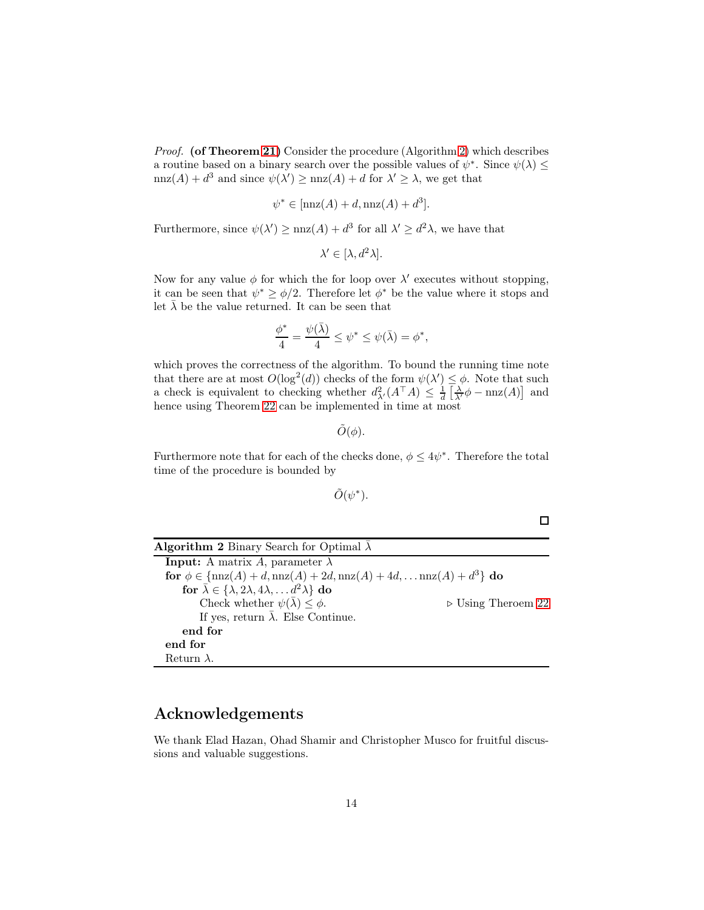Proof. (of Theorem [21\)](#page-12-0) Consider the procedure (Algorithm [2\)](#page-13-0) which describes a routine based on a binary search over the possible values of  $\psi^*$ . Since  $\psi(\lambda) \le$  $nnz(A) + d^3$  and since  $\psi(\lambda') \geq nnz(A) + d$  for  $\lambda' \geq \lambda$ , we get that

$$
\psi^* \in [\text{nnz}(A) + d, \text{nnz}(A) + d^3].
$$

Furthermore, since  $\psi(\lambda') \ge \max(A) + d^3$  for all  $\lambda' \ge d^2 \lambda$ , we have that

$$
\lambda' \in [\lambda, d^2\lambda].
$$

Now for any value  $\phi$  for which the for loop over  $\lambda'$  executes without stopping, it can be seen that  $\psi^* \geq \phi/2$ . Therefore let  $\phi^*$  be the value where it stops and let  $\bar{\lambda}$  be the value returned. It can be seen that

$$
\frac{\phi^*}{4} = \frac{\psi(\bar{\lambda})}{4} \le \psi^* \le \psi(\bar{\lambda}) = \phi^*,
$$

which proves the correctness of the algorithm. To bound the running time note that there are at most  $O(\log^2(d))$  checks of the form  $\psi(\lambda') \leq \phi$ . Note that such a check is equivalent to checking whether  $d_{\lambda'}^2(A^{\top}A) \leq \frac{1}{d} \left[ \frac{\lambda}{\lambda'} \phi - \text{nnz}(A) \right]$  and hence using Theorem [22](#page-12-1) can be implemented in time at most

 $\tilde{O}(\phi)$ .

Furthermore note that for each of the checks done,  $\phi \leq 4\psi^*$ . Therefore the total time of the procedure is bounded by

 $\tilde{O}(\psi^*)$ .

 $\Box$ 

<span id="page-13-0"></span>

| <b>Algorithm 2</b> Binary Search for Optimal $\overline{\lambda}$                                            |                                   |
|--------------------------------------------------------------------------------------------------------------|-----------------------------------|
| <b>Input:</b> A matrix A, parameter $\lambda$                                                                |                                   |
| for $\phi \in \{ \text{nnz}(A) + d, \text{nnz}(A) + 2d, \text{nnz}(A) + 4d, \dots \text{nnz}(A) + d^3 \}$ do |                                   |
| for $\bar{\lambda} \in \{\lambda, 2\lambda, 4\lambda, \ldots d^2\lambda\}$ do                                |                                   |
| Check whether $\psi(\bar{\lambda}) \leq \phi$ .                                                              | $\triangleright$ Using Theroem 22 |
| If yes, return $\bar{\lambda}$ . Else Continue.                                                              |                                   |
| end for                                                                                                      |                                   |
| end for                                                                                                      |                                   |
| Return $\lambda$ .                                                                                           |                                   |

## Acknowledgements

We thank Elad Hazan, Ohad Shamir and Christopher Musco for fruitful discussions and valuable suggestions.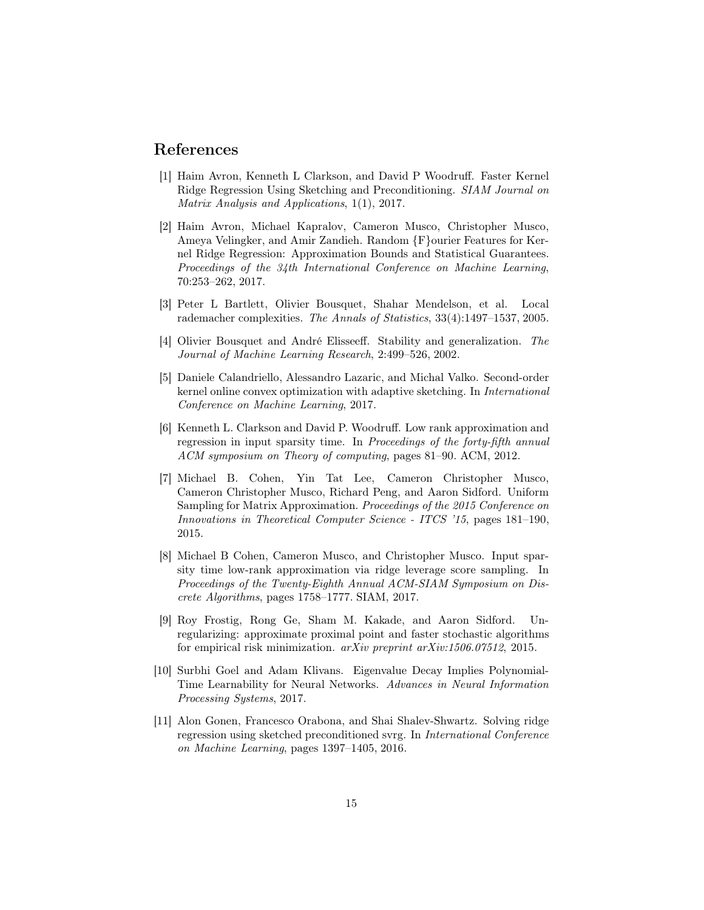### <span id="page-14-1"></span>References

- [1] Haim Avron, Kenneth L Clarkson, and David P Woodruff. Faster Kernel Ridge Regression Using Sketching and Preconditioning. SIAM Journal on Matrix Analysis and Applications, 1(1), 2017.
- <span id="page-14-10"></span>[2] Haim Avron, Michael Kapralov, Cameron Musco, Christopher Musco, Ameya Velingker, and Amir Zandieh. Random  ${F}$ ourier Features for Kernel Ridge Regression: Approximation Bounds and Statistical Guarantees. Proceedings of the 34th International Conference on Machine Learning, 70:253–262, 2017.
- <span id="page-14-6"></span><span id="page-14-3"></span>[3] Peter L Bartlett, Olivier Bousquet, Shahar Mendelson, et al. Local rademacher complexities. The Annals of Statistics, 33(4):1497–1537, 2005.
- [4] Olivier Bousquet and André Elisseeff. Stability and generalization. The Journal of Machine Learning Research, 2:499–526, 2002.
- <span id="page-14-5"></span>[5] Daniele Calandriello, Alessandro Lazaric, and Michal Valko. Second-order kernel online convex optimization with adaptive sketching. In International Conference on Machine Learning, 2017.
- <span id="page-14-0"></span>[6] Kenneth L. Clarkson and David P. Woodruff. Low rank approximation and regression in input sparsity time. In Proceedings of the forty-fifth annual ACM symposium on Theory of computing, pages 81–90. ACM, 2012.
- <span id="page-14-8"></span>[7] Michael B. Cohen, Yin Tat Lee, Cameron Christopher Musco, Cameron Christopher Musco, Richard Peng, and Aaron Sidford. Uniform Sampling for Matrix Approximation. Proceedings of the 2015 Conference on Innovations in Theoretical Computer Science - ITCS '15, pages 181–190, 2015.
- <span id="page-14-9"></span>[8] Michael B Cohen, Cameron Musco, and Christopher Musco. Input sparsity time low-rank approximation via ridge leverage score sampling. In Proceedings of the Twenty-Eighth Annual ACM-SIAM Symposium on Discrete Algorithms, pages 1758–1777. SIAM, 2017.
- <span id="page-14-7"></span>[9] Roy Frostig, Rong Ge, Sham M. Kakade, and Aaron Sidford. Unregularizing: approximate proximal point and faster stochastic algorithms for empirical risk minimization.  $arXiv$  preprint  $arXiv:1506.07512$ , 2015.
- <span id="page-14-4"></span>[10] Surbhi Goel and Adam Klivans. Eigenvalue Decay Implies Polynomial-Time Learnability for Neural Networks. Advances in Neural Information Processing Systems, 2017.
- <span id="page-14-2"></span>[11] Alon Gonen, Francesco Orabona, and Shai Shalev-Shwartz. Solving ridge regression using sketched preconditioned svrg. In International Conference on Machine Learning, pages 1397–1405, 2016.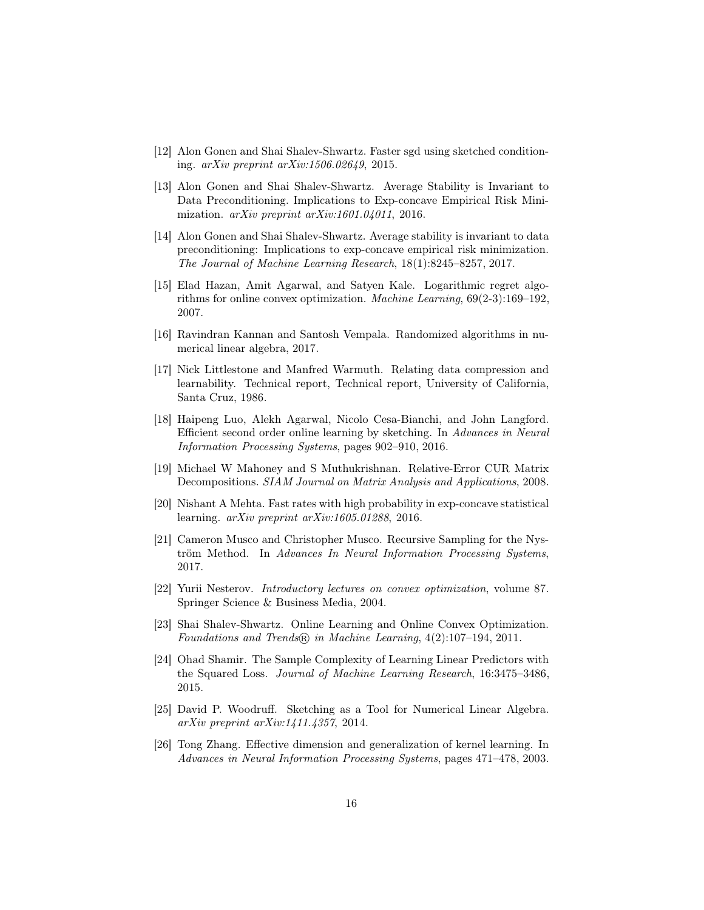- <span id="page-15-11"></span><span id="page-15-3"></span>[12] Alon Gonen and Shai Shalev-Shwartz. Faster sgd using sketched conditioning. arXiv preprint arXiv:1506.02649, 2015.
- [13] Alon Gonen and Shai Shalev-Shwartz. Average Stability is Invariant to Data Preconditioning. Implications to Exp-concave Empirical Risk Minimization. arXiv preprint arXiv:1601.04011, 2016.
- <span id="page-15-2"></span>[14] Alon Gonen and Shai Shalev-Shwartz. Average stability is invariant to data preconditioning: Implications to exp-concave empirical risk minimization. The Journal of Machine Learning Research, 18(1):8245–8257, 2017.
- <span id="page-15-9"></span>[15] Elad Hazan, Amit Agarwal, and Satyen Kale. Logarithmic regret algorithms for online convex optimization. Machine Learning, 69(2-3):169–192, 2007.
- <span id="page-15-1"></span>[16] Ravindran Kannan and Santosh Vempala. Randomized algorithms in numerical linear algebra, 2017.
- <span id="page-15-7"></span>[17] Nick Littlestone and Manfred Warmuth. Relating data compression and learnability. Technical report, Technical report, University of California, Santa Cruz, 1986.
- <span id="page-15-10"></span>[18] Haipeng Luo, Alekh Agarwal, Nicolo Cesa-Bianchi, and John Langford. Efficient second order online learning by sketching. In Advances in Neural Information Processing Systems, pages 902–910, 2016.
- <span id="page-15-12"></span>[19] Michael W Mahoney and S Muthukrishnan. Relative-Error CUR Matrix Decompositions. SIAM Journal on Matrix Analysis and Applications, 2008.
- <span id="page-15-4"></span>[20] Nishant A Mehta. Fast rates with high probability in exp-concave statistical learning. arXiv preprint arXiv:1605.01288, 2016.
- <span id="page-15-8"></span>[21] Cameron Musco and Christopher Musco. Recursive Sampling for the Nyström Method. In Advances In Neural Information Processing Systems, 2017.
- <span id="page-15-14"></span>[22] Yurii Nesterov. Introductory lectures on convex optimization, volume 87. Springer Science & Business Media, 2004.
- <span id="page-15-5"></span>[23] Shai Shalev-Shwartz. Online Learning and Online Convex Optimization. Foundations and Trends® in Machine Learning, 4(2):107-194, 2011.
- <span id="page-15-13"></span>[24] Ohad Shamir. The Sample Complexity of Learning Linear Predictors with the Squared Loss. Journal of Machine Learning Research, 16:3475–3486, 2015.
- <span id="page-15-0"></span>[25] David P. Woodruff. Sketching as a Tool for Numerical Linear Algebra. arXiv preprint arXiv:1411.4357, 2014.
- <span id="page-15-6"></span>[26] Tong Zhang. Effective dimension and generalization of kernel learning. In Advances in Neural Information Processing Systems, pages 471–478, 2003.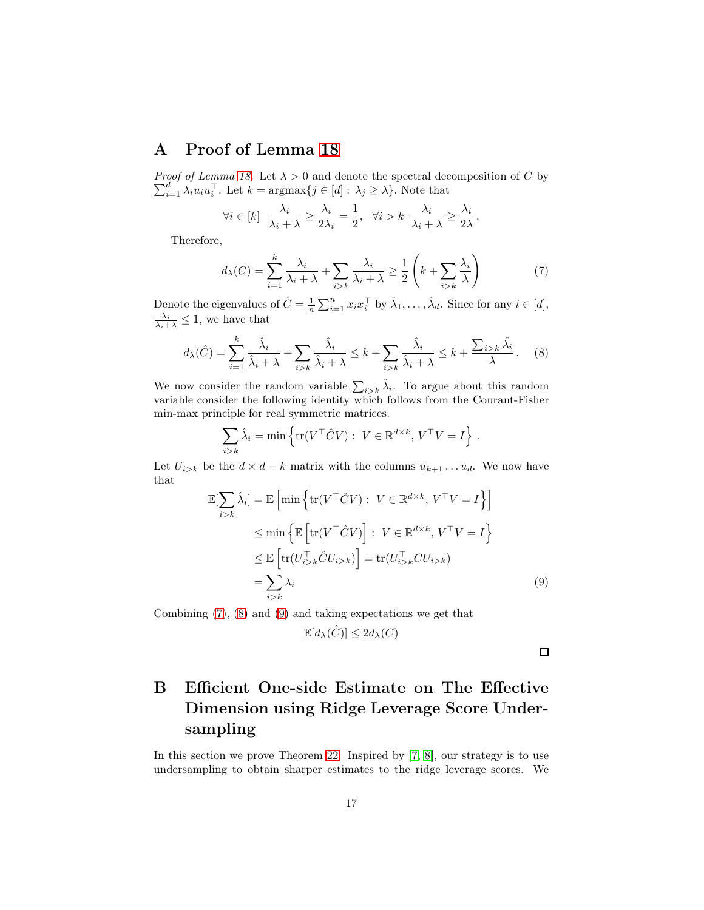# <span id="page-16-0"></span>A Proof of Lemma [18](#page-10-4)

*Proof of Lemma [18.](#page-10-4)* Let  $\lambda > 0$  and denote the spectral decomposition of C by  $\sum_{i=1}^{d} \lambda_i u_i u_i^{\top}$ . Let  $k = \operatorname{argmax}{j \in [d]: \lambda_j \geq \lambda}$ . Note that

$$
\forall i \in [k] \quad \frac{\lambda_i}{\lambda_i + \lambda} \ge \frac{\lambda_i}{2\lambda_i} = \frac{1}{2}, \quad \forall i > k \quad \frac{\lambda_i}{\lambda_i + \lambda} \ge \frac{\lambda_i}{2\lambda}.
$$

Therefore,

<span id="page-16-3"></span><span id="page-16-2"></span>
$$
d_{\lambda}(C) = \sum_{i=1}^{k} \frac{\lambda_i}{\lambda_i + \lambda} + \sum_{i>k} \frac{\lambda_i}{\lambda_i + \lambda} \ge \frac{1}{2} \left( k + \sum_{i>k} \frac{\lambda_i}{\lambda} \right) \tag{7}
$$

Denote the eigenvalues of  $\hat{C} = \frac{1}{n} \sum_{i=1}^{n} x_i x_i^{\top}$  by  $\hat{\lambda}_1, \dots, \hat{\lambda}_d$ . Since for any  $i \in [d]$ ,  $\frac{\lambda_i}{\lambda_i + \lambda} \leq 1$ , we have that

$$
d_{\lambda}(\hat{C}) = \sum_{i=1}^{k} \frac{\hat{\lambda}_{i}}{\hat{\lambda}_{i} + \lambda} + \sum_{i > k} \frac{\hat{\lambda}_{i}}{\hat{\lambda}_{i} + \lambda} \leq k + \sum_{i > k} \frac{\hat{\lambda}_{i}}{\hat{\lambda}_{i} + \lambda} \leq k + \frac{\sum_{i > k} \hat{\lambda}_{i}}{\lambda}.
$$
 (8)

We now consider the random variable  $\sum_{i>k} \hat{\lambda}_i$ . To argue about this random variable consider the following identity which follows from the Courant-Fisher min-max principle for real symmetric matrices.

$$
\sum_{i>k} \hat{\lambda}_i = \min \left\{ \text{tr}(V^\top \hat{C} V) : V \in \mathbb{R}^{d \times k}, V^\top V = I \right\}.
$$

Let  $U_{i>k}$  be the  $d \times d - k$  matrix with the columns  $u_{k+1} \dots u_d$ . We now have that

$$
\mathbb{E}[\sum_{i>k} \hat{\lambda}_i] = \mathbb{E}\left[\min\left\{\text{tr}(V^\top \hat{C}V) : V \in \mathbb{R}^{d \times k}, V^\top V = I\right\}\right]
$$
  
\n
$$
\leq \min\left\{\mathbb{E}\left[\text{tr}(V^\top \hat{C}V)\right] : V \in \mathbb{R}^{d \times k}, V^\top V = I\right\}
$$
  
\n
$$
\leq \mathbb{E}\left[\text{tr}(U_{i>k}^\top \hat{C}U_{i>k})\right] = \text{tr}(U_{i>k}^\top C U_{i>k})
$$
  
\n
$$
= \sum_{i>k} \lambda_i
$$
 (9)

Combining [\(7\)](#page-16-2), [\(8\)](#page-16-3) and [\(9\)](#page-16-4) and taking expectations we get that

$$
\mathbb{E}[d_{\lambda}(\hat{C})] \le 2d_{\lambda}(C)
$$

<span id="page-16-4"></span> $\Box$ 

# <span id="page-16-1"></span>B Efficient One-side Estimate on The Effective Dimension using Ridge Leverage Score Undersampling

In this section we prove Theorem [22.](#page-12-1) Inspired by [\[7,](#page-14-8) [8\]](#page-14-9), our strategy is to use undersampling to obtain sharper estimates to the ridge leverage scores. We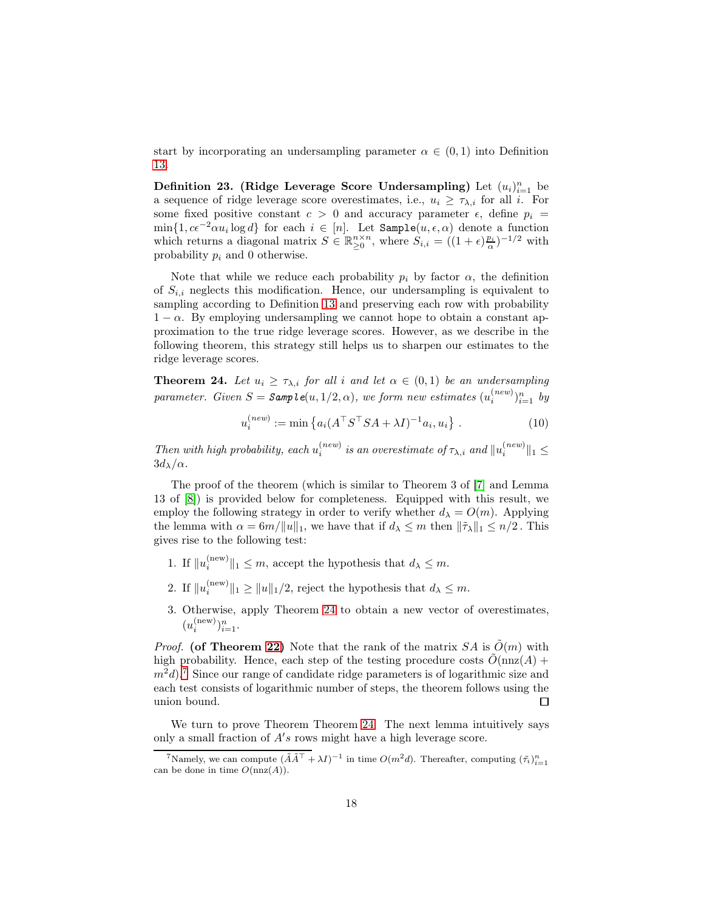start by incorporating an undersampling parameter  $\alpha \in (0,1)$  into Definition [13.](#page-7-2)

Definition 23. (Ridge Leverage Score Undersampling) Let  $(u_i)_{i=1}^n$  be a sequence of ridge leverage score overestimates, i.e.,  $u_i \geq \tau_{\lambda,i}$  for all i. For some fixed positive constant  $c > 0$  and accuracy parameter  $\epsilon$ , define  $p_i =$  $\min\{1, c\epsilon^{-2}\alpha u_i \log d\}$  for each  $i \in [n]$ . Let  $\texttt{Sample}(u, \epsilon, \alpha)$  denote a function which returns a diagonal matrix  $S \in \mathbb{R}_{\geq 0}^{n \times n}$ , where  $S_{i,i} = ((1 + \epsilon) \frac{p_i}{\alpha})^{-1/2}$  with probability  $p_i$  and 0 otherwise.

Note that while we reduce each probability  $p_i$  by factor  $\alpha$ , the definition of  $S_{i,i}$  neglects this modification. Hence, our undersampling is equivalent to sampling according to Definition [13](#page-7-2) and preserving each row with probability  $1 - \alpha$ . By employing undersampling we cannot hope to obtain a constant approximation to the true ridge leverage scores. However, as we describe in the following theorem, this strategy still helps us to sharpen our estimates to the ridge leverage scores.

<span id="page-17-0"></span>**Theorem 24.** Let  $u_i \geq \tau_{\lambda,i}$  for all i and let  $\alpha \in (0,1)$  be an undersampling parameter. Given  $S =$  Sample $(u, 1/2, \alpha)$ , we form new estimates  $(u_i^{(new)})$  $\binom{new}{i}$ <sub> $i=1$ </sub> by

$$
u_i^{(new)} := \min \left\{ a_i (A^\top S^\top S A + \lambda I)^{-1} a_i, u_i \right\}.
$$
 (10)

Then with high probability, each  $u_i^{(new)}$  is an overestimate of  $\tau_{\lambda,i}$  and  $||u_i^{(new)}||_1 \le$  $3d_{\lambda}/\alpha$ .

The proof of the theorem (which is similar to Theorem 3 of [\[7\]](#page-14-8) and Lemma 13 of [\[8\]](#page-14-9)) is provided below for completeness. Equipped with this result, we employ the following strategy in order to verify whether  $d_{\lambda} = O(m)$ . Applying the lemma with  $\alpha = 6m/\|u\|_1$ , we have that if  $d_\lambda \leq m$  then  $\|\tilde{\tau}_\lambda\|_1 \leq n/2$ . This gives rise to the following test:

- 1. If  $||u_i^{\text{(new)}}$  $\|u\|_{1} \leq m$ , accept the hypothesis that  $d_{\lambda} \leq m$ .
- 2. If  $||u_i^{(\text{new})}||_1 \ge ||u||_1/2$ , reject the hypothesis that  $d_\lambda \le m$ .
- 3. Otherwise, apply Theorem [24](#page-17-0) to obtain a new vector of overestimates,  $(u_i^{\text{(new)}})$  $\binom{new}{i}$ <sub> $i=1$ </sub>.

*Proof.* (of Theorem [22\)](#page-12-1) Note that the rank of the matrix  $SA$  is  $\tilde{O}(m)$  with high probability. Hence, each step of the testing procedure costs  $\tilde{O}(nnz(A))$  +  $m^2d$ .<sup>[7](#page-17-1)</sup> Since our range of candidate ridge parameters is of logarithmic size and each test consists of logarithmic number of steps, the theorem follows using the union bound.  $\Box$ 

<span id="page-17-2"></span>We turn to prove Theorem Theorem [24.](#page-17-0) The next lemma intuitively says only a small fraction of  $A$ 's rows might have a high leverage score.

<span id="page-17-1"></span><sup>&</sup>lt;sup>7</sup>Namely, we can compute  $(\tilde{A}\tilde{A}^{\top} + \lambda I)^{-1}$  in time  $O(m^2d)$ . Thereafter, computing  $(\tilde{\tau}_i)_{i=1}^n$ can be done in time  $O(nnz(A)).$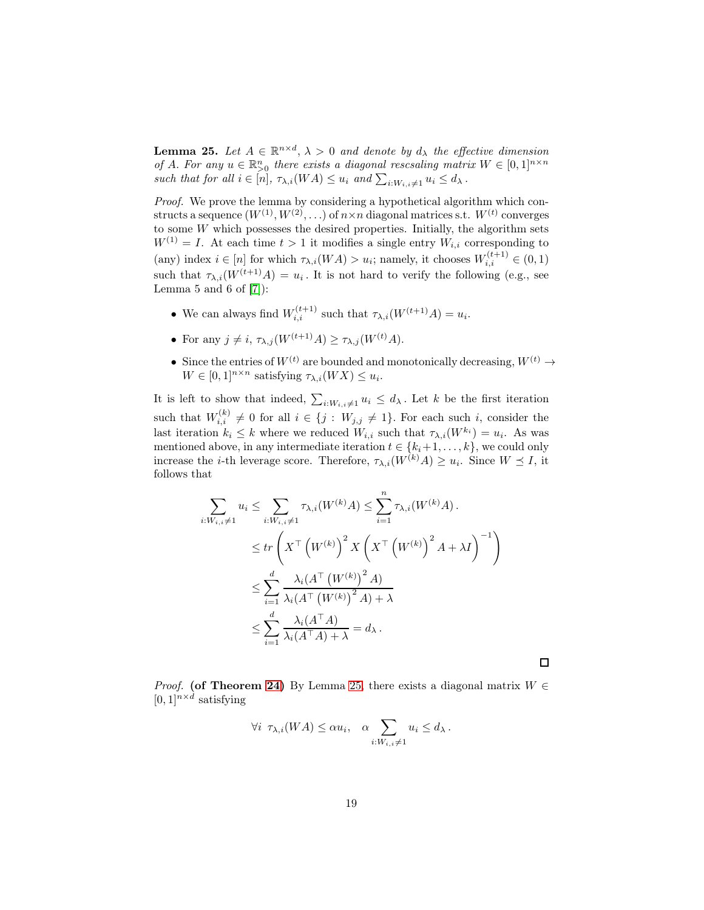**Lemma 25.** Let  $A \in \mathbb{R}^{n \times d}$ ,  $\lambda > 0$  and denote by  $d_{\lambda}$  the effective dimension of A. For any  $u \in \mathbb{R}^n_{\geq 0}$  there exists a diagonal rescsaling matrix  $W \in [0,1]^{n \times n}$ such that for all  $i \in [n]$ ,  $\tau_{\lambda,i}(WA) \leq u_i$  and  $\sum_{i:W_{i,i} \neq 1} u_i \leq d_{\lambda}$ .

Proof. We prove the lemma by considering a hypothetical algorithm which constructs a sequence  $(W^{(1)}, W^{(2)}, ...)$  of  $n \times n$  diagonal matrices s.t.  $W^{(t)}$  converges to some  $W$  which possesses the desired properties. Initially, the algorithm sets  $W^{(1)} = I$ . At each time  $t > 1$  it modifies a single entry  $W_{i,i}$  corresponding to (any) index  $i \in [n]$  for which  $\tau_{\lambda,i}(WA) > u_i$ ; namely, it chooses  $W_{i,i}^{(t+1)} \in (0,1)$ such that  $\tau_{\lambda,i}(W^{(t+1)}A) = u_i$ . It is not hard to verify the following (e.g., see Lemma 5 and 6 of  $[7]$ :

- We can always find  $W_{i,i}^{(t+1)}$  such that  $\tau_{\lambda,i}(W^{(t+1)}A) = u_i$ .
- For any  $j \neq i$ ,  $\tau_{\lambda,j}(W^{(t+1)}A) \geq \tau_{\lambda,j}(W^{(t)}A)$ .
- Since the entries of  $W^{(t)}$  are bounded and monotonically decreasing,  $W^{(t)} \rightarrow$  $W \in [0,1]^{n \times n}$  satisfying  $\tau_{\lambda,i}(WX) \leq u_i$ .

It is left to show that indeed,  $\sum_{i:W_{i,i}\neq 1} u_i \leq d_\lambda$ . Let k be the first iteration such that  $W_{i,i}^{(k)} \neq 0$  for all  $i \in \{j : W_{j,j} \neq 1\}$ . For each such i, consider the last iteration  $k_i \leq k$  where we reduced  $W_{i,i}$  such that  $\tau_{\lambda,i}(W^{k_i}) = u_i$ . As was mentioned above, in any intermediate iteration  $t \in \{k_i+1,\ldots,k\}$ , we could only increase the *i*-th leverage score. Therefore,  $\tau_{\lambda,i}(W^{(k)}A) \geq u_i$ . Since  $W \leq I$ , it follows that

$$
\sum_{i:W_{i,i}\neq 1} u_i \leq \sum_{i:W_{i,i}\neq 1} \tau_{\lambda,i}(W^{(k)}A) \leq \sum_{i=1}^n \tau_{\lambda,i}(W^{(k)}A).
$$
  

$$
\leq tr \left( X^\top \left( W^{(k)} \right)^2 X \left( X^\top \left( W^{(k)} \right)^2 A + \lambda I \right)^{-1} \right)
$$
  

$$
\leq \sum_{i=1}^d \frac{\lambda_i (A^\top \left( W^{(k)} \right)^2 A)}{\lambda_i (A^\top \left( W^{(k)} \right)^2 A) + \lambda}
$$
  

$$
\leq \sum_{i=1}^d \frac{\lambda_i (A^\top A)}{\lambda_i (A^\top A) + \lambda} = d_\lambda.
$$

 $\Box$ 

*Proof.* (of Theorem [24\)](#page-17-0) By Lemma [25,](#page-17-2) there exists a diagonal matrix  $W \in$  $[0,1]^{n \times d}$  satisfying

$$
\forall i \ \tau_{\lambda,i}(WA) \leq \alpha u_i, \quad \alpha \sum_{i:W_{i,i} \neq 1} u_i \leq d_{\lambda}.
$$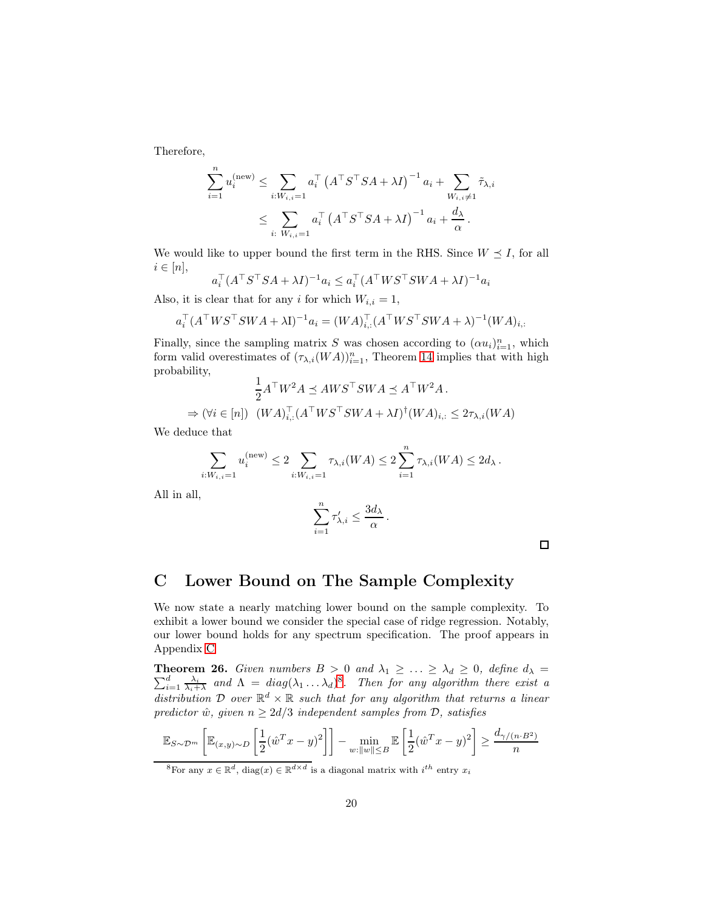Therefore,

$$
\sum_{i=1}^{n} u_i^{(\text{new})} \le \sum_{i: W_{i,i}=1} a_i^{\top} \left( A^{\top} S^{\top} S A + \lambda I \right)^{-1} a_i + \sum_{W_{i,i} \neq 1} \tilde{\tau}_{\lambda,i}
$$
  

$$
\le \sum_{i: W_{i,i}=1} a_i^{\top} \left( A^{\top} S^{\top} S A + \lambda I \right)^{-1} a_i + \frac{d_{\lambda}}{\alpha}.
$$

We would like to upper bound the first term in the RHS. Since  $W \preceq I$ , for all  $i \in [n],$ 

$$
a_i^\top (A^\top S^\top SA + \lambda I)^{-1} a_i \le a_i^\top (A^\top WS^\top SWA + \lambda I)^{-1} a_i
$$

Also, it is clear that for any i for which  $W_{i,i} = 1$ ,

$$
a_i^\top (A^\top W S^\top S W A + \lambda I)^{-1} a_i = (W A)_{i,:}^\top (A^\top W S^\top S W A + \lambda)^{-1} (W A)_{i,:}
$$

Finally, since the sampling matrix S was chosen according to  $(\alpha u_i)_{i=1}^n$ , which form valid overestimates of  $(\tau_{\lambda,i}(WA))_{i=1}^n$ , Theorem [14](#page-7-3) implies that with high probability,

$$
\frac{1}{2}A^{\top}W^2A \preceq AWS^{\top}SWA \preceq A^{\top}W^2A.
$$
  
\n
$$
\Rightarrow (\forall i \in [n]) \ (WA)_{i,:}^{\top} (A^{\top}WS^{\top}SWA + \lambda I)^{\dagger} (WA)_{i,:} \leq 2\tau_{\lambda,i}(WA).
$$

We deduce that

$$
\sum_{i:W_{i,i}=1} u_i^{(\text{new})} \le 2 \sum_{i:W_{i,i}=1} \tau_{\lambda,i}(WA) \le 2 \sum_{i=1}^n \tau_{\lambda,i}(WA) \le 2d_{\lambda}.
$$

All in all,

$$
\sum_{i=1}^n \tau'_{\lambda,i} \le \frac{3d_\lambda}{\alpha} \, .
$$

 $\Box$ 

## <span id="page-19-0"></span>C Lower Bound on The Sample Complexity

We now state a nearly matching lower bound on the sample complexity. To exhibit a lower bound we consider the special case of ridge regression. Notably, our lower bound holds for any spectrum specification. The proof appears in Appendix [C](#page-19-0)

<span id="page-19-2"></span>Theorem 26. **Theorem 26.** Given numbers  $B > 0$  and  $\lambda_1 \geq \ldots \geq \lambda_d \geq 0$ , define  $d_{\lambda} = \sum_{i=1}^d \frac{\lambda_i}{\lambda_i}$  and  $\Lambda = diag(\lambda_1 \ldots \lambda_d)^8$ . Then for any algorithm there exist a  $\frac{d}{d} \frac{\lambda_i}{\lambda_i + \lambda}$  and  $\Lambda = diag(\lambda_1 \dots \lambda_d)^8$  $\Lambda = diag(\lambda_1 \dots \lambda_d)^8$ . Then for any algorithm there exist a distribution D over  $\mathbb{R}^d \times \mathbb{R}$  such that for any algorithm that returns a linear predictor  $\hat{w}$ , given  $n \geq 2d/3$  independent samples from  $\mathcal{D}$ , satisfies

$$
\mathbb{E}_{S \sim \mathcal{D}^m} \left[ \mathbb{E}_{(x,y) \sim D} \left[ \frac{1}{2} (\hat{w}^T x - y)^2 \right] \right] - \min_{w : ||w|| \leq B} \mathbb{E} \left[ \frac{1}{2} (\hat{w}^T x - y)^2 \right] \geq \frac{d_{\gamma/(n \cdot B^2)}}{n}
$$

<span id="page-19-1"></span><sup>&</sup>lt;sup>8</sup>For any  $x \in \mathbb{R}^d$ , diag $(x) \in \mathbb{R}^{d \times d}$  is a diagonal matrix with  $i^{th}$  entry  $x_i$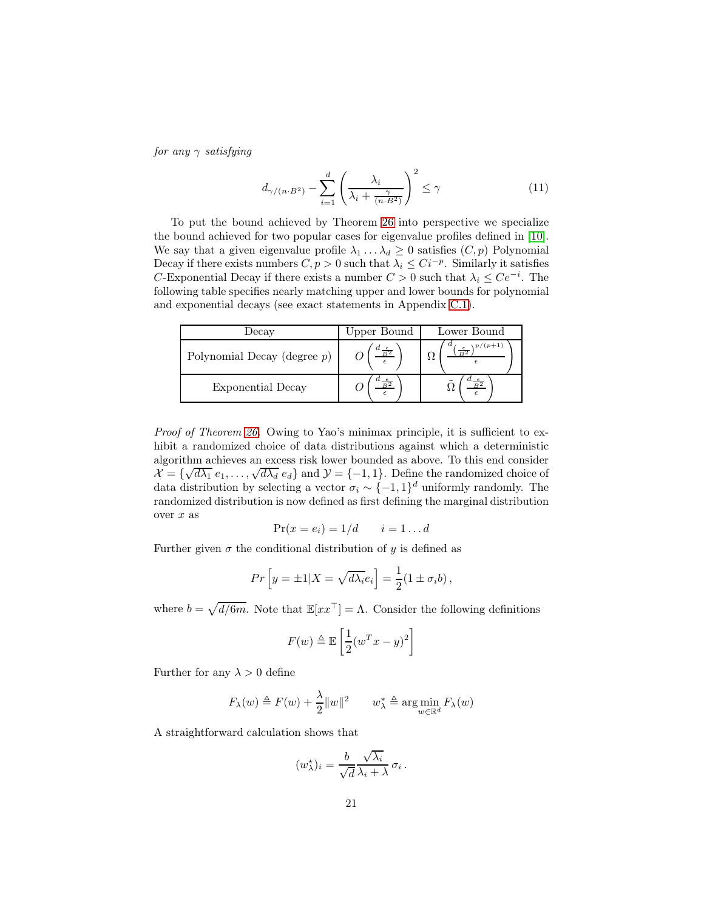for any  $\gamma$  satisfying

<span id="page-20-0"></span>
$$
d_{\gamma/(n \cdot B^2)} - \sum_{i=1}^d \left(\frac{\lambda_i}{\lambda_i + \frac{\gamma}{(n \cdot B^2)}}\right)^2 \le \gamma
$$
 (11)

To put the bound achieved by Theorem [26](#page-19-2) into perspective we specialize the bound achieved for two popular cases for eigenvalue profiles defined in [\[10\]](#page-14-4). We say that a given eigenvalue profile  $\lambda_1 \dots \lambda_d \geq 0$  satisfies  $(C, p)$  Polynomial Decay if there exists numbers  $C, p > 0$  such that  $\lambda_i \leq C i^{-p}$ . Similarly it satisfies C-Exponential Decay if there exists a number  $C > 0$  such that  $\lambda_i \leq Ce^{-i}$ . The following table specifies nearly matching upper and lower bounds for polynomial and exponential decays (see exact statements in Appendix [C.1\)](#page-23-1).

| Jecay                          | Upper Bound | Lower Bound |
|--------------------------------|-------------|-------------|
| Polynomial Decay (degree $p$ ) |             |             |
| Exponential Decay              |             |             |

Proof of Theorem [26.](#page-19-2) Owing to Yao's minimax principle, it is sufficient to exhibit a randomized choice of data distributions against which a deterministic algorithm achieves an excess risk lower bounded as above. To this end consider  $\mathcal{X} = \{\sqrt{d\lambda_1} e_1, \ldots, \sqrt{d\lambda_d} e_d\}$  and  $\mathcal{Y} = \{-1, 1\}$ . Define the randomized choice of data distribution by selecting a vector  $\sigma_i \sim \{-1,1\}^d$  uniformly randomly. The randomized distribution is now defined as first defining the marginal distribution over  $x$  as

$$
Pr(x = e_i) = 1/d \qquad i = 1 \dots d
$$

Further given  $\sigma$  the conditional distribution of y is defined as

$$
Pr\left[y = \pm 1 | X = \sqrt{d\lambda_i} e_i\right] = \frac{1}{2} (1 \pm \sigma_i b),
$$

where  $b = \sqrt{d/6m}$ . Note that  $\mathbb{E}[xx^{\top}] = \Lambda$ . Consider the following definitions

$$
F(w) \triangleq \mathbb{E}\left[\frac{1}{2}(w^T x - y)^2\right]
$$

Further for any  $\lambda > 0$  define

$$
F_{\lambda}(w) \triangleq F(w) + \frac{\lambda}{2} ||w||^2 \qquad w_{\lambda}^* \triangleq \arg\min_{w \in \mathbb{R}^d} F_{\lambda}(w)
$$

A straightforward calculation shows that

$$
(w_{\lambda}^{\star})_i = \frac{b}{\sqrt{d}} \frac{\sqrt{\lambda_i}}{\lambda_i + \lambda} \sigma_i.
$$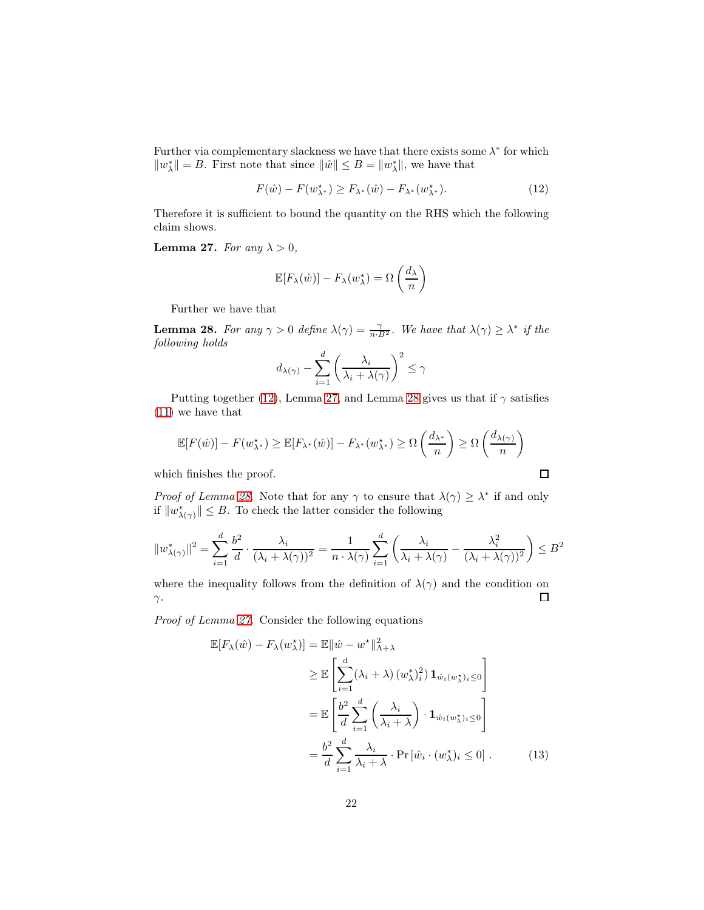Further via complementary slackness we have that there exists some  $\lambda^*$  for which  $||w^*_{\lambda}|| = B$ . First note that since  $||\hat{w}|| \le B = ||w^*_{\lambda}||$ , we have that

<span id="page-21-0"></span>
$$
F(\hat{w}) - F(w_{\lambda^*}^*) \ge F_{\lambda^*}(\hat{w}) - F_{\lambda^*}(w_{\lambda^*}^*).
$$
 (12)

<span id="page-21-1"></span>Therefore it is sufficient to bound the quantity on the RHS which the following claim shows.

**Lemma 27.** For any  $\lambda > 0$ ,

$$
\mathbb{E}[F_{\lambda}(\hat{w})] - F_{\lambda}(w_{\lambda}^{\star}) = \Omega\left(\frac{d_{\lambda}}{n}\right)
$$

<span id="page-21-2"></span>Further we have that

**Lemma 28.** For any  $\gamma > 0$  define  $\lambda(\gamma) = \frac{\gamma}{n \cdot B^2}$ . We have that  $\lambda(\gamma) \geq \lambda^*$  if the following holds

$$
d_{\lambda(\gamma)} - \sum_{i=1}^d \left(\frac{\lambda_i}{\lambda_i + \lambda(\gamma)}\right)^2 \le \gamma
$$

Putting together [\(12\)](#page-21-0), Lemma [27,](#page-21-1) and Lemma [28](#page-21-2) gives us that if  $\gamma$  satisfies [\(11\)](#page-20-0) we have that

$$
\mathbb{E}[F(\hat{w})] - F(w_{\lambda^*}^*) \ge \mathbb{E}[F_{\lambda^*}(\hat{w})] - F_{\lambda^*}(w_{\lambda^*}^*) \ge \Omega\left(\frac{d_{\lambda^*}}{n}\right) \ge \Omega\left(\frac{d_{\lambda(\gamma)}}{n}\right)
$$

which finishes the proof.

*Proof of Lemma [28.](#page-21-2)* Note that for any  $\gamma$  to ensure that  $\lambda(\gamma) \geq \lambda^*$  if and only if  $||w^*_{\lambda(\gamma)}|| \leq B$ . To check the latter consider the following

$$
||w_{\lambda(\gamma)}^*||^2 = \sum_{i=1}^d \frac{b^2}{d} \cdot \frac{\lambda_i}{(\lambda_i + \lambda(\gamma))^2} = \frac{1}{n \cdot \lambda(\gamma)} \sum_{i=1}^d \left( \frac{\lambda_i}{\lambda_i + \lambda(\gamma)} - \frac{\lambda_i^2}{(\lambda_i + \lambda(\gamma))^2} \right) \le B^2
$$

where the inequality follows from the definition of  $\lambda(\gamma)$  and the condition on □ γ.

Proof of Lemma [27.](#page-21-1) Consider the following equations

$$
\mathbb{E}[F_{\lambda}(\hat{w}) - F_{\lambda}(w_{\lambda}^{\star})] = \mathbb{E} \|\hat{w} - w^{\star}\|_{\Lambda + \lambda}^{2}
$$
\n
$$
\geq \mathbb{E}\left[\sum_{i=1}^{d} (\lambda_{i} + \lambda) (w_{\lambda}^{*})_{i}^{2}) \mathbf{1}_{\hat{w}_{i}(w_{\lambda}^{*})_{i} \leq 0}\right]
$$
\n
$$
= \mathbb{E}\left[\frac{b^{2}}{d} \sum_{i=1}^{d} \left(\frac{\lambda_{i}}{\lambda_{i} + \lambda}\right) \cdot \mathbf{1}_{\hat{w}_{i}(w_{\lambda}^{*})_{i} \leq 0}\right]
$$
\n
$$
= \frac{b^{2}}{d} \sum_{i=1}^{d} \frac{\lambda_{i}}{\lambda_{i} + \lambda} \cdot \Pr[\hat{w}_{i} \cdot (w_{\lambda}^{*})_{i} \leq 0]. \tag{13}
$$

<span id="page-21-3"></span> $\Box$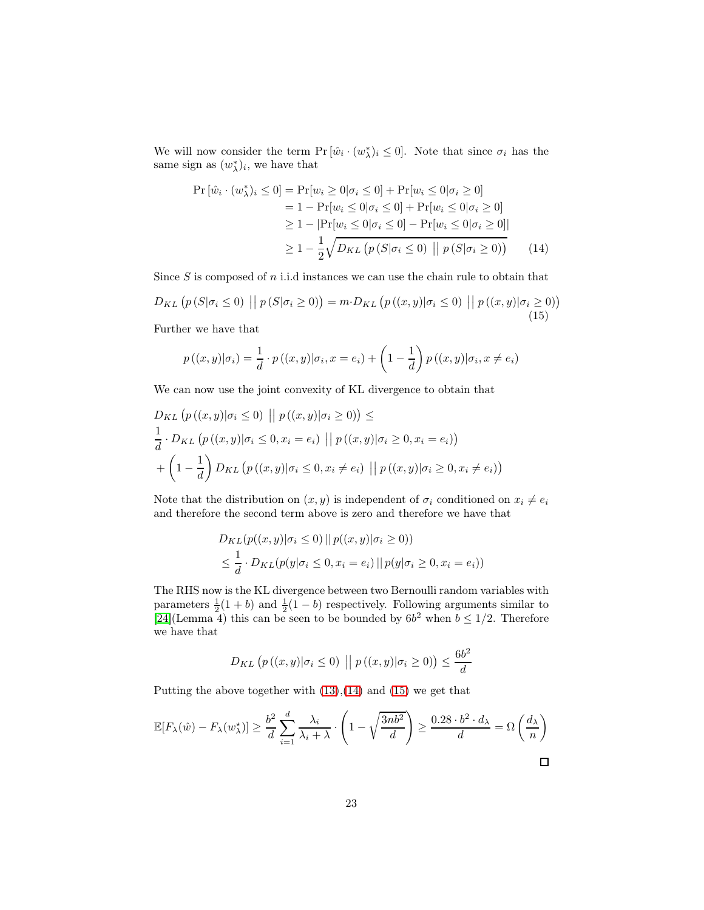We will now consider the term  $Pr[\hat{w}_i \cdot (w_\lambda^*)_i \leq 0]$ . Note that since  $\sigma_i$  has the same sign as  $(w_{\lambda}^*)_i$ , we have that

<span id="page-22-1"></span><span id="page-22-0"></span>
$$
\Pr\left[\hat{w}_i \cdot (w_{\lambda}^*)_i \le 0\right] = \Pr[w_i \ge 0 | \sigma_i \le 0] + \Pr[w_i \le 0 | \sigma_i \ge 0]
$$
  
= 1 - \Pr[w\_i \le 0 | \sigma\_i \le 0] + \Pr[w\_i \le 0 | \sigma\_i \ge 0]  

$$
\ge 1 - |\Pr[w_i \le 0 | \sigma_i \le 0] - \Pr[w_i \le 0 | \sigma_i \ge 0]|
$$
  

$$
\ge 1 - \frac{1}{2} \sqrt{D_{KL} \left(p \left(S | \sigma_i \le 0\right) || p \left(S | \sigma_i \ge 0\right)\right)}
$$
(14)

Since  $S$  is composed of  $n$  i.i.d instances we can use the chain rule to obtain that

$$
D_{KL}\left(p\left(S|\sigma_{i} \leq 0\right) \mid p\left(S|\sigma_{i} \geq 0\right)\right) = m \cdot D_{KL}\left(p\left((x,y)|\sigma_{i} \leq 0\right) \mid p\left((x,y)|\sigma_{i} \geq 0\right)\right)
$$
\n(15)

Further we have that

$$
p((x,y)|\sigma_i) = \frac{1}{d} \cdot p((x,y)|\sigma_i, x = e_i) + \left(1 - \frac{1}{d}\right) p((x,y)|\sigma_i, x \neq e_i)
$$

We can now use the joint convexity of KL divergence to obtain that

$$
D_{KL}(p((x,y)|\sigma_i \le 0) || p((x,y)|\sigma_i \ge 0)) \le
$$
  
\n
$$
\frac{1}{d} \cdot D_{KL}(p((x,y)|\sigma_i \le 0, x_i = e_i) || p((x,y)|\sigma_i \ge 0, x_i = e_i))
$$
  
\n
$$
+ \left(1 - \frac{1}{d}\right) D_{KL}(p((x,y)|\sigma_i \le 0, x_i \ne e_i) || p((x,y)|\sigma_i \ge 0, x_i \ne e_i))
$$

Note that the distribution on  $(x, y)$  is independent of  $\sigma_i$  conditioned on  $x_i \neq e_i$ and therefore the second term above is zero and therefore we have that

$$
D_{KL}(p((x,y)|\sigma_i \le 0) || p((x,y)|\sigma_i \ge 0))
$$
  

$$
\le \frac{1}{d} \cdot D_{KL}(p(y|\sigma_i \le 0, x_i = e_i) || p(y|\sigma_i \ge 0, x_i = e_i))
$$

The RHS now is the KL divergence between two Bernoulli random variables with parameters  $\frac{1}{2}(1+b)$  and  $\frac{1}{2}(1-b)$  respectively. Following arguments similar to [\[24\]](#page-15-13)(Lemma 4) this can be seen to be bounded by  $6b^2$  when  $b \leq 1/2$ . Therefore we have that

$$
D_{KL}\left(p\left((x,y)|\sigma_i \le 0\right) \; \middle\vert \; p\left((x,y)|\sigma_i \ge 0\right)\right) \le \frac{6b^2}{d}
$$

Putting the above together with  $(13),(14)$  $(13),(14)$  and  $(15)$  we get that

$$
\mathbb{E}[F_{\lambda}(\hat{w}) - F_{\lambda}(w_{\lambda}^{\star})] \ge \frac{b^2}{d} \sum_{i=1}^{d} \frac{\lambda_i}{\lambda_i + \lambda} \cdot \left(1 - \sqrt{\frac{3nb^2}{d}}\right) \ge \frac{0.28 \cdot b^2 \cdot d_{\lambda}}{d} = \Omega\left(\frac{d_{\lambda}}{n}\right)
$$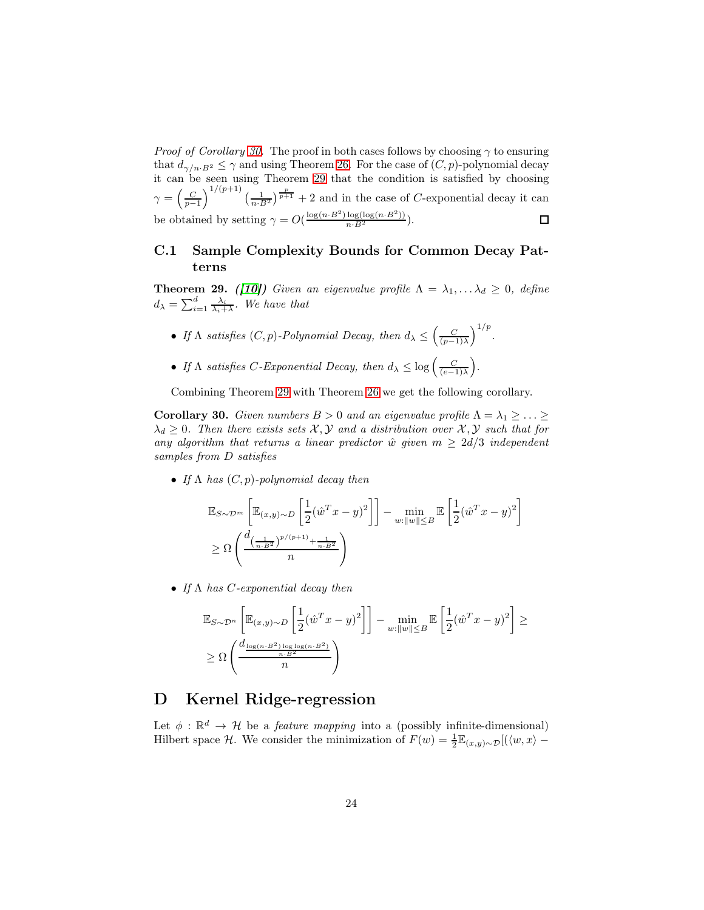*Proof of Corollary [30.](#page-23-2)* The proof in both cases follows by choosing  $\gamma$  to ensuring that  $d_{\gamma/n \cdot B^2} \leq \gamma$  and using Theorem [26.](#page-19-2) For the case of  $(C, p)$ -polynomial decay it can be seen using Theorem [29](#page-23-3) that the condition is satisfied by choosing  $\gamma = \left(\frac{C}{p-1}\right)^{1/(p+1)} \left(\frac{1}{n \cdot B^2}\right)^{\frac{p}{p+1}} + 2$  and in the case of C-exponential decay it can be obtained by setting  $\gamma = O(\frac{\log(n \cdot B^2) \log(\log(n \cdot B^2))}{n \cdot B^2})$ .

### <span id="page-23-1"></span>C.1 Sample Complexity Bounds for Common Decay Patterns

<span id="page-23-3"></span>**Theorem 29.** ([\[10\]](#page-14-4)) Given an eigenvalue profile  $\Lambda = \lambda_1, \ldots, \lambda_d \geq 0$ , define  $d_{\lambda} = \sum_{i=1}^{d} \frac{\lambda_i}{\lambda_i + \lambda}$ . We have that

- If  $\Lambda$  satisfies  $(C, p)$ -Polynomial Decay, then  $d_{\lambda} \leq \left(\frac{C}{(p-1)\lambda}\right)$  $\big)^{1/p}$ .
- If  $\Lambda$  satisfies C-Exponential Decay, then  $d_{\lambda} \leq \log \left( \frac{C}{(e-1)\lambda} \right)$ .

<span id="page-23-2"></span>Combining Theorem [29](#page-23-3) with Theorem [26](#page-19-2) we get the following corollary.

**Corollary 30.** Given numbers  $B > 0$  and an eigenvalue profile  $\Lambda = \lambda_1 \geq \ldots \geq$  $\lambda_d \geq 0$ . Then there exists sets X, Y and a distribution over X, Y such that for any algorithm that returns a linear predictor  $\hat{w}$  given  $m \geq 2d/3$  independent samples from D satisfies

• If  $\Lambda$  has  $(C, p)$ -polynomial decay then

$$
\mathbb{E}_{S \sim \mathcal{D}^m} \left[ \mathbb{E}_{(x,y) \sim D} \left[ \frac{1}{2} (\hat{w}^T x - y)^2 \right] \right] - \min_{w: \|w\| \le B} \mathbb{E} \left[ \frac{1}{2} (\hat{w}^T x - y)^2 \right]
$$
  
\n
$$
\ge \Omega \left( \frac{d \left( \frac{1}{n \cdot B^2} \right)^{p/(p+1)} + \frac{1}{n \cdot B^2}}{n} \right)
$$

• If  $\Lambda$  has *C*-exponential decay then

$$
\mathbb{E}_{S \sim \mathcal{D}^n} \left[ \mathbb{E}_{(x,y) \sim D} \left[ \frac{1}{2} (\hat{w}^T x - y)^2 \right] \right] - \min_{w: ||w|| \leq B} \mathbb{E} \left[ \frac{1}{2} (\hat{w}^T x - y)^2 \right] \geq
$$
  
 
$$
\geq \Omega \left( \frac{d_{\frac{\log(n \cdot B^2) \log \log(n \cdot B^2)}{n \cdot B^2}}}{n} \right)
$$

## <span id="page-23-0"></span>D Kernel Ridge-regression

Let  $\phi : \mathbb{R}^d \to \mathcal{H}$  be a *feature mapping* into a (possibly infinite-dimensional) Hilbert space H. We consider the minimization of  $F(w) = \frac{1}{2} \mathbb{E}_{(x,y)\sim \mathcal{D}}[(\langle w, x \rangle - \langle w \rangle + \langle w \rangle - \langle w \rangle)]$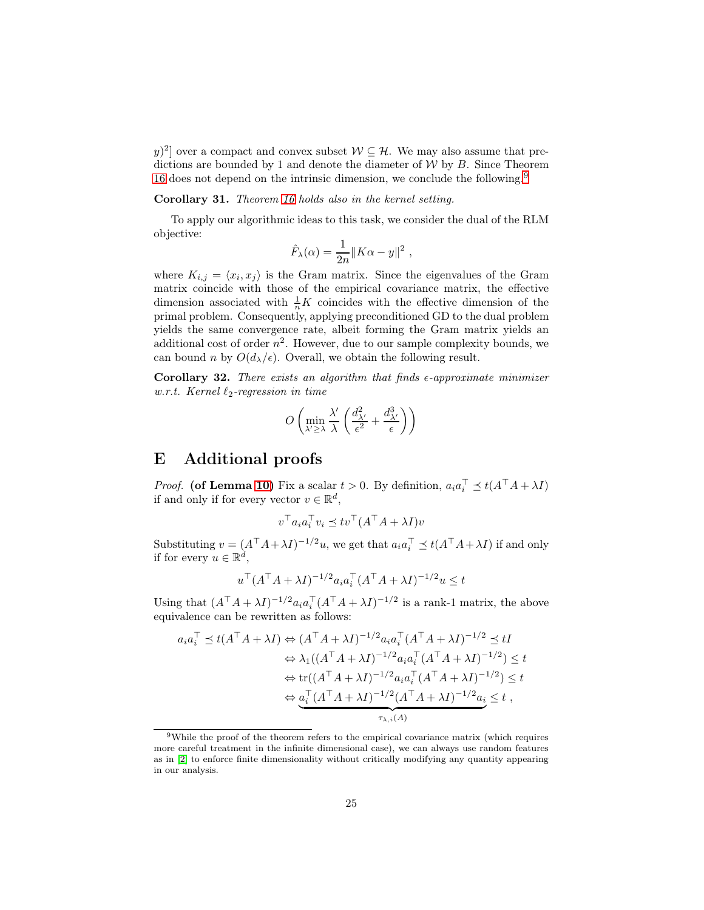y)<sup>2</sup>] over a compact and convex subset  $W \subseteq \mathcal{H}$ . We may also assume that predictions are bounded by 1 and denote the diameter of  $W$  by  $B$ . Since Theorem [16](#page-8-0) does not depend on the intrinsic dimension, we conclude the following.<sup>[9](#page-24-2)</sup>

#### Corollary 31. Theorem [16](#page-8-0) holds also in the kernel setting.

To apply our algorithmic ideas to this task, we consider the dual of the RLM objective:

$$
\hat{F}_{\lambda}(\alpha) = \frac{1}{2n} ||K\alpha - y||^2 ,
$$

where  $K_{i,j} = \langle x_i, x_j \rangle$  is the Gram matrix. Since the eigenvalues of the Gram matrix coincide with those of the empirical covariance matrix, the effective dimension associated with  $\frac{1}{n}K$  coincides with the effective dimension of the primal problem. Consequently, applying preconditioned GD to the dual problem yields the same convergence rate, albeit forming the Gram matrix yields an additional cost of order  $n^2$ . However, due to our sample complexity bounds, we can bound n by  $O(d_{\lambda}/\epsilon)$ . Overall, we obtain the following result.

<span id="page-24-0"></span>Corollary 32. There exists an algorithm that finds  $\epsilon$ -approximate minimizer w.r.t. Kernel  $\ell_2$ -regression in time

$$
O\left(\min_{\lambda' \ge \lambda} \frac{\lambda'}{\lambda} \left(\frac{d_{\lambda'}^2}{\epsilon^2} + \frac{d_{\lambda'}^3}{\epsilon}\right)\right)
$$

### <span id="page-24-1"></span>E Additional proofs

*Proof.* (of Lemma [10\)](#page-7-1) Fix a scalar  $t > 0$ . By definition,  $a_i a_i^{\dagger} \preceq t(A^{\dagger} A + \lambda I)$ if and only if for every vector  $v \in \mathbb{R}^d$ ,

$$
v^\top a_i a_i^\top v_i \preceq tv^\top (A^\top A + \lambda I)v
$$

Substituting  $v = (A^{\top} A + \lambda I)^{-1/2} u$ , we get that  $a_i a_i^{\top} \preceq t(A^{\top} A + \lambda I)$  if and only if for every  $u \in \mathbb{R}^d$ ,

$$
u^\top (A^\top A + \lambda I)^{-1/2} a_i a_i^\top (A^\top A + \lambda I)^{-1/2} u \le t
$$

Using that  $(A^{\top}A + \lambda I)^{-1/2} a_i a_i^{\top} (A^{\top}A + \lambda I)^{-1/2}$  is a rank-1 matrix, the above equivalence can be rewritten as follows:

$$
a_i a_i^\top \preceq t(A^\top A + \lambda I) \Leftrightarrow (A^\top A + \lambda I)^{-1/2} a_i a_i^\top (A^\top A + \lambda I)^{-1/2} \preceq tI
$$
  
\n
$$
\Leftrightarrow \lambda_1((A^\top A + \lambda I)^{-1/2} a_i a_i^\top (A^\top A + \lambda I)^{-1/2}) \leq t
$$
  
\n
$$
\Leftrightarrow \text{tr}((A^\top A + \lambda I)^{-1/2} a_i a_i^\top (A^\top A + \lambda I)^{-1/2}) \leq t
$$
  
\n
$$
\Leftrightarrow \underbrace{a_i^\top (A^\top A + \lambda I)^{-1/2} (A^\top A + \lambda I)^{-1/2} a_i}_{\tau_{\lambda, i}(A)} \leq t,
$$

<span id="page-24-2"></span><sup>9</sup>While the proof of the theorem refers to the empirical covariance matrix (which requires more careful treatment in the infinite dimensional case), we can always use random features as in [\[2\]](#page-14-10) to enforce finite dimensionality without critically modifying any quantity appearing in our analysis.